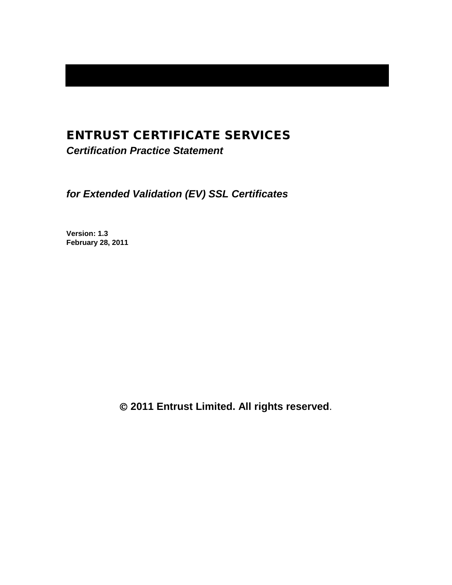# ENTRUST CERTIFICATE SERVICES

*Certification Practice Statement*

*for Extended Validation (EV) SSL Certificates*

**Version: 1.3 February 28, 2011**

**2011 Entrust Limited. All rights reserved**.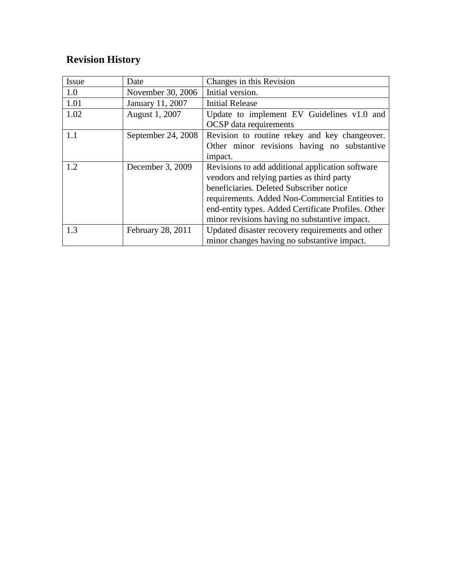# **Revision History**

| <b>Issue</b> | Date               | Changes in this Revision                            |  |  |
|--------------|--------------------|-----------------------------------------------------|--|--|
| 1.0          | November 30, 2006  | Initial version.                                    |  |  |
| 1.01         | January 11, 2007   | <b>Initial Release</b>                              |  |  |
| 1.02         | August 1, 2007     | Update to implement EV Guidelines v1.0 and          |  |  |
|              |                    | <b>OCSP</b> data requirements                       |  |  |
| 1.1          | September 24, 2008 | Revision to routine rekey and key changeover.       |  |  |
|              |                    | Other minor revisions having no substantive         |  |  |
|              |                    | impact.                                             |  |  |
| 1.2          | December 3, 2009   | Revisions to add additional application software    |  |  |
|              |                    | vendors and relying parties as third party          |  |  |
|              |                    | beneficiaries. Deleted Subscriber notice            |  |  |
|              |                    | requirements. Added Non-Commercial Entities to      |  |  |
|              |                    | end-entity types. Added Certificate Profiles. Other |  |  |
|              |                    | minor revisions having no substantive impact.       |  |  |
| 1.3          | February 28, 2011  | Updated disaster recovery requirements and other    |  |  |
|              |                    | minor changes having no substantive impact.         |  |  |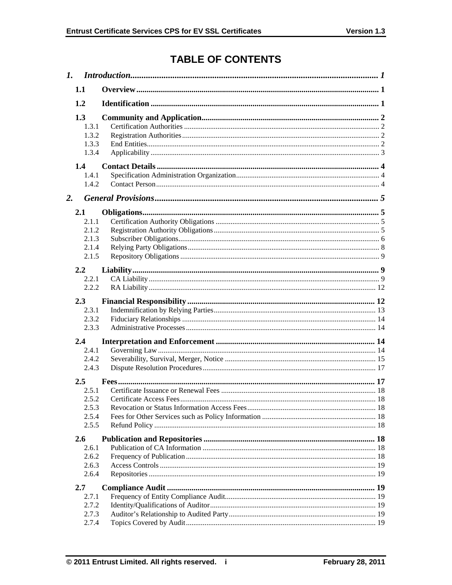# **TABLE OF CONTENTS**

|    | 1.1                                              |  |
|----|--------------------------------------------------|--|
|    | 1.2                                              |  |
|    | 1.3<br>1.3.1<br>1.3.2<br>1.3.3<br>1.3.4          |  |
|    | 1.4<br>1.4.1<br>1.4.2                            |  |
| 2. |                                                  |  |
|    | 2.1<br>2.1.1<br>2.1.2<br>2.1.3<br>2.1.4<br>2.1.5 |  |
|    | 2.2                                              |  |
|    | 2.2.1                                            |  |
|    | 2.2.2                                            |  |
|    | 2.3<br>2.3.1<br>2.3.2<br>2.3.3                   |  |
|    | $2.4\phantom{0}$                                 |  |
|    | 2.4.1<br>2.4.2<br>2.4.3                          |  |
|    | 2.5                                              |  |
|    | 2.5.1<br>2.5.2<br>2.5.3<br>2.5.4<br>2.5.5        |  |
|    | <b>2.6</b>                                       |  |
|    | 2.6.1<br>2.6.2<br>2.6.3<br>2.6.4                 |  |
|    | 2.7                                              |  |
|    | 2.7.1<br>2.7.2<br>2.7.3<br>2.7.4                 |  |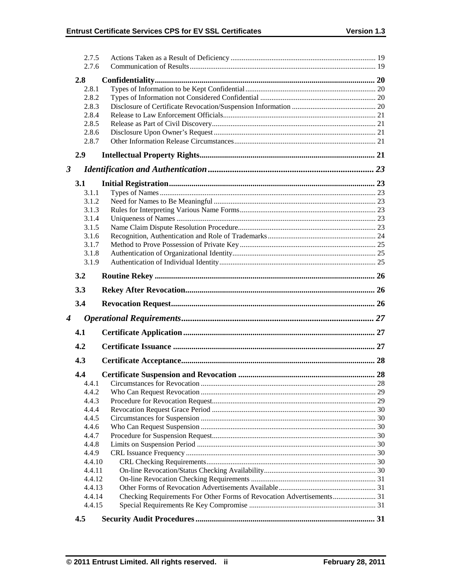|                      | 2.7.5      |                                                                       |    |
|----------------------|------------|-----------------------------------------------------------------------|----|
|                      | 2.7.6      |                                                                       |    |
|                      | 2.8        |                                                                       |    |
|                      | 2.8.1      |                                                                       |    |
|                      | 2.8.2      |                                                                       |    |
|                      | 2.8.3      |                                                                       |    |
|                      | 2.8.4      |                                                                       |    |
|                      | 2.8.5      |                                                                       |    |
|                      | 2.8.6      |                                                                       |    |
|                      | 2.8.7      |                                                                       |    |
|                      | 2.9        |                                                                       |    |
| $\boldsymbol{\beta}$ |            |                                                                       |    |
|                      | <b>3.1</b> |                                                                       |    |
|                      | 3.1.1      |                                                                       |    |
|                      | 3.1.2      |                                                                       |    |
|                      | 3.1.3      |                                                                       |    |
|                      | 3.1.4      |                                                                       |    |
|                      | 3.1.5      |                                                                       |    |
|                      | 3.1.6      |                                                                       |    |
|                      | 3.1.7      |                                                                       |    |
|                      | 3.1.8      |                                                                       |    |
|                      | 3.1.9      |                                                                       |    |
|                      | 3.2        |                                                                       |    |
|                      |            |                                                                       |    |
|                      | 3.3        |                                                                       |    |
|                      | 3.4        |                                                                       |    |
| 4                    |            |                                                                       |    |
|                      | 4.1        |                                                                       |    |
|                      | 4.2        |                                                                       |    |
|                      | 4.3        |                                                                       |    |
|                      | 4.4        |                                                                       |    |
|                      |            |                                                                       |    |
|                      |            |                                                                       | 28 |
|                      | 4.4.2      |                                                                       |    |
|                      | 4.4.3      |                                                                       |    |
|                      | 4.4.4      |                                                                       |    |
|                      | 4.4.5      |                                                                       |    |
|                      | 4.4.6      |                                                                       |    |
|                      | 4.4.7      |                                                                       |    |
|                      | 4.4.8      |                                                                       |    |
|                      | 4.4.9      |                                                                       |    |
|                      | 4.4.10     |                                                                       |    |
|                      | 4.4.11     |                                                                       |    |
|                      | 4.4.12     |                                                                       |    |
|                      | 4.4.13     |                                                                       |    |
|                      | 4.4.14     | Checking Requirements For Other Forms of Revocation Advertisements 31 |    |
|                      | 4.4.15     |                                                                       |    |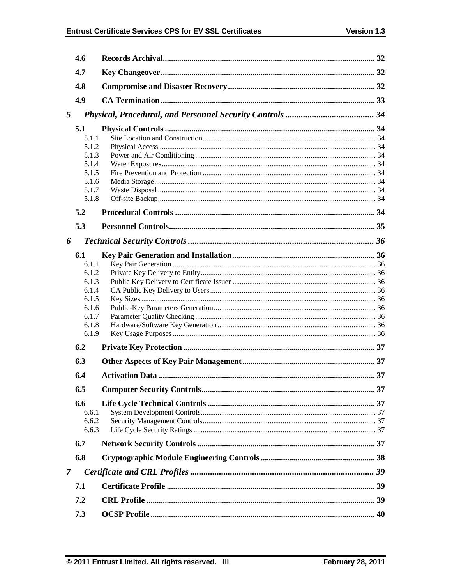|               | 4.6   |  |
|---------------|-------|--|
|               | 4.7   |  |
|               | 4.8   |  |
|               | 4.9   |  |
| 5             |       |  |
|               | 5.1   |  |
|               | 5.1.1 |  |
|               | 5.1.2 |  |
|               | 5.1.3 |  |
|               | 5.1.4 |  |
|               | 5.1.5 |  |
|               | 5.1.6 |  |
|               | 5.1.7 |  |
|               | 5.1.8 |  |
|               | 5.2   |  |
|               | 5.3   |  |
| 6             |       |  |
|               | 6.1   |  |
|               | 6.1.1 |  |
|               | 6.1.2 |  |
|               | 6.1.3 |  |
|               | 6.1.4 |  |
|               | 6.1.5 |  |
|               | 6.1.6 |  |
|               | 6.1.7 |  |
|               | 6.1.8 |  |
|               | 6.1.9 |  |
|               | 6.2   |  |
|               | 6.3   |  |
|               | 6.4   |  |
|               | 6.5   |  |
|               | 6.6   |  |
|               | 6.6.1 |  |
|               | 6.6.2 |  |
|               | 6.6.3 |  |
|               | 6.7   |  |
|               | 6.8   |  |
| $\mathcal{I}$ |       |  |
|               | 7.1   |  |
|               |       |  |
|               | 7.2   |  |
|               | 7.3   |  |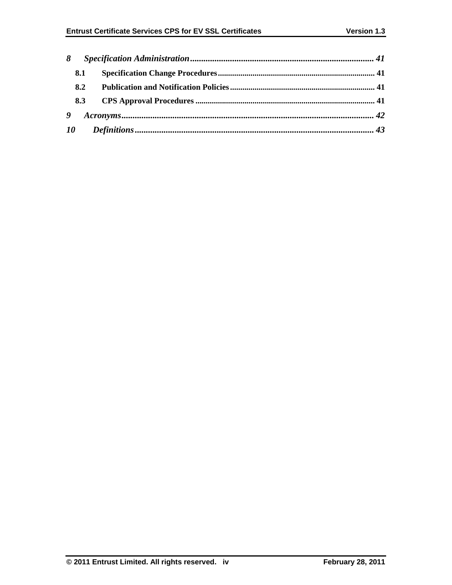| 8 |     |  |  |  |  |
|---|-----|--|--|--|--|
|   | 8.1 |  |  |  |  |
|   | 8.2 |  |  |  |  |
|   | 8.3 |  |  |  |  |
|   | 9   |  |  |  |  |
|   |     |  |  |  |  |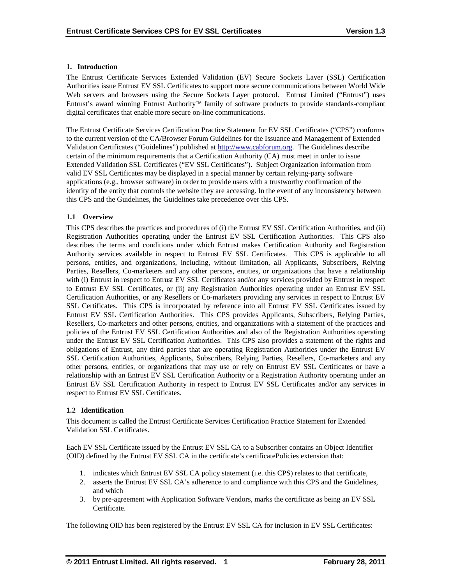## **1. Introduction**

The Entrust Certificate Services Extended Validation (EV) Secure Sockets Layer (SSL) Certification Authorities issue Entrust EV SSL Certificates to support more secure communications between World Wide Web servers and browsers using the Secure Sockets Layer protocol. Entrust Limited ("Entrust") uses Entrust's award winning Entrust Authority™ family of software products to provide standards-compliant digital certificates that enable more secure on-line communications.

The Entrust Certificate Services Certification Practice Statement for EV SSL Certificates ("CPS") conforms to the current version of the CA/Browser Forum Guidelines for the Issuance and Management of Extended Validation Certificates ("Guidelines") published at [http://www.cabforum.org.](http://www.cabforum.org/) The Guidelines describe certain of the minimum requirements that a Certification Authority (CA) must meet in order to issue Extended Validation SSL Certificates ("EV SSL Certificates"). Subject Organization information from valid EV SSL Certificates may be displayed in a special manner by certain relying-party software applications (e.g., browser software) in order to provide users with a trustworthy confirmation of the identity of the entity that controls the website they are accessing. In the event of any inconsistency between this CPS and the Guidelines, the Guidelines take precedence over this CPS.

# **1.1 Overview**

This CPS describes the practices and procedures of (i) the Entrust EV SSL Certification Authorities, and (ii) Registration Authorities operating under the Entrust EV SSL Certification Authorities. This CPS also describes the terms and conditions under which Entrust makes Certification Authority and Registration Authority services available in respect to Entrust EV SSL Certificates. This CPS is applicable to all persons, entities, and organizations, including, without limitation, all Applicants, Subscribers, Relying Parties, Resellers, Co-marketers and any other persons, entities, or organizations that have a relationship with (i) Entrust in respect to Entrust EV SSL Certificates and/or any services provided by Entrust in respect to Entrust EV SSL Certificates, or (ii) any Registration Authorities operating under an Entrust EV SSL Certification Authorities, or any Resellers or Co-marketers providing any services in respect to Entrust EV SSL Certificates. This CPS is incorporated by reference into all Entrust EV SSL Certificates issued by Entrust EV SSL Certification Authorities. This CPS provides Applicants, Subscribers, Relying Parties, Resellers, Co-marketers and other persons, entities, and organizations with a statement of the practices and policies of the Entrust EV SSL Certification Authorities and also of the Registration Authorities operating under the Entrust EV SSL Certification Authorities. This CPS also provides a statement of the rights and obligations of Entrust, any third parties that are operating Registration Authorities under the Entrust EV SSL Certification Authorities, Applicants, Subscribers, Relying Parties, Resellers, Co-marketers and any other persons, entities, or organizations that may use or rely on Entrust EV SSL Certificates or have a relationship with an Entrust EV SSL Certification Authority or a Registration Authority operating under an Entrust EV SSL Certification Authority in respect to Entrust EV SSL Certificates and/or any services in respect to Entrust EV SSL Certificates.

#### **1.2 Identification**

This document is called the Entrust Certificate Services Certification Practice Statement for Extended Validation SSL Certificates.

Each EV SSL Certificate issued by the Entrust EV SSL CA to a Subscriber contains an Object Identifier (OID) defined by the Entrust EV SSL CA in the certificate's certificatePolicies extension that:

- 1. indicates which Entrust EV SSL CA policy statement (i.e. this CPS) relates to that certificate,
- 2. asserts the Entrust EV SSL CA's adherence to and compliance with this CPS and the Guidelines, and which
- 3. by pre-agreement with Application Software Vendors, marks the certificate as being an EV SSL Certificate.

The following OID has been registered by the Entrust EV SSL CA for inclusion in EV SSL Certificates: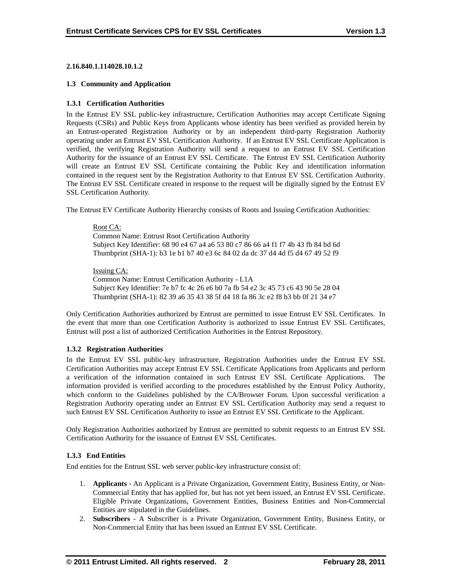#### **2.16.840.1.114028.10.1.2**

#### **1.3 Community and Application**

#### **1.3.1 Certification Authorities**

In the Entrust EV SSL public-key infrastructure, Certification Authorities may accept Certificate Signing Requests (CSRs) and Public Keys from Applicants whose identity has been verified as provided herein by an Entrust-operated Registration Authority or by an independent third-party Registration Authority operating under an Entrust EV SSL Certification Authority. If an Entrust EV SSL Certificate Application is verified, the verifying Registration Authority will send a request to an Entrust EV SSL Certification Authority for the issuance of an Entrust EV SSL Certificate. The Entrust EV SSL Certification Authority will create an Entrust EV SSL Certificate containing the Public Key and identification information contained in the request sent by the Registration Authority to that Entrust EV SSL Certification Authority. The Entrust EV SSL Certificate created in response to the request will be digitally signed by the Entrust EV SSL Certification Authority.

The Entrust EV Certificate Authority Hierarchy consists of Roots and Issuing Certification Authorities:

#### Root CA:

Common Name: Entrust Root Certification Authority Subject Key Identifier: 68 90 e4 67 a4 a6 53 80 c7 86 66 a4 f1 f7 4b 43 fb 84 bd 6d Thumbprint (SHA-1): b3 1e b1 b7 40 e3 6c 84 02 da dc 37 d4 4d f5 d4 67 49 52 f9

#### Issuing CA:

Common Name: Entrust Certification Authority - L1A Subject Key Identifier: 7e b7 fc 4c 26 e6 b0 7a fb 54 e2 3c 45 73 c6 43 90 5e 28 04 Thumbprint (SHA-1): 82 39 a6 35 43 38 5f d4 18 fa 86 3c e2 f8 b3 bb 0f 21 34 e7

Only Certification Authorities authorized by Entrust are permitted to issue Entrust EV SSL Certificates. In the event that more than one Certification Authority is authorized to issue Entrust EV SSL Certificates, Entrust will post a list of authorized Certification Authorities in the Entrust Repository.

#### **1.3.2 Registration Authorities**

In the Entrust EV SSL public-key infrastructure, Registration Authorities under the Entrust EV SSL Certification Authorities may accept Entrust EV SSL Certificate Applications from Applicants and perform a verification of the information contained in such Entrust EV SSL Certificate Applications. The information provided is verified according to the procedures established by the Entrust Policy Authority, which conform to the Guidelines published by the CA/Browser Forum. Upon successful verification a Registration Authority operating under an Entrust EV SSL Certification Authority may send a request to such Entrust EV SSL Certification Authority to issue an Entrust EV SSL Certificate to the Applicant.

Only Registration Authorities authorized by Entrust are permitted to submit requests to an Entrust EV SSL Certification Authority for the issuance of Entrust EV SSL Certificates.

#### **1.3.3 End Entities**

End entities for the Entrust SSL web server public-key infrastructure consist of:

- 1. **Applicants** An Applicant is a Private Organization, Government Entity, Business Entity, or Non-Commercial Entity that has applied for, but has not yet been issued, an Entrust EV SSL Certificate. Eligible Private Organizations, Government Entities, Business Entities and Non-Commercial Entities are stipulated in the Guidelines.
- 2. **Subscribers**  A Subscriber is a Private Organization, Government Entity, Business Entity, or Non-Commercial Entity that has been issued an Entrust EV SSL Certificate.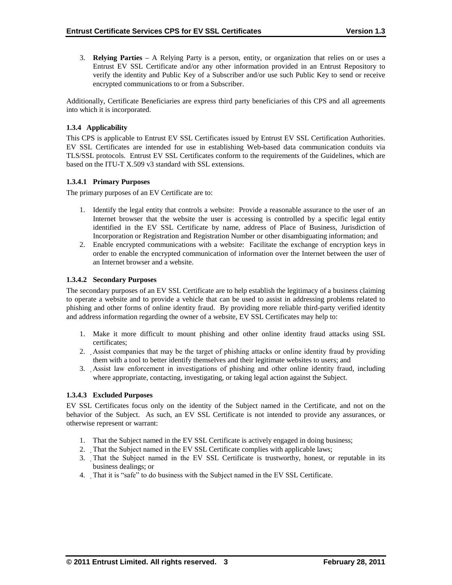3. **Relying Parties** – A Relying Party is a person, entity, or organization that relies on or uses a Entrust EV SSL Certificate and/or any other information provided in an Entrust Repository to verify the identity and Public Key of a Subscriber and/or use such Public Key to send or receive encrypted communications to or from a Subscriber.

Additionally, Certificate Beneficiaries are express third party beneficiaries of this CPS and all agreements into which it is incorporated.

# **1.3.4 Applicability**

This CPS is applicable to Entrust EV SSL Certificates issued by Entrust EV SSL Certification Authorities. EV SSL Certificates are intended for use in establishing Web-based data communication conduits via TLS/SSL protocols. Entrust EV SSL Certificates conform to the requirements of the Guidelines, which are based on the ITU-T X.509 v3 standard with SSL extensions.

## **1.3.4.1 Primary Purposes**

The primary purposes of an EV Certificate are to:

- 1. Identify the legal entity that controls a website: Provide a reasonable assurance to the user of an Internet browser that the website the user is accessing is controlled by a specific legal entity identified in the EV SSL Certificate by name, address of Place of Business, Jurisdiction of Incorporation or Registration and Registration Number or other disambiguating information; and
- 2. Enable encrypted communications with a website: Facilitate the exchange of encryption keys in order to enable the encrypted communication of information over the Internet between the user of an Internet browser and a website.

## **1.3.4.2 Secondary Purposes**

The secondary purposes of an EV SSL Certificate are to help establish the legitimacy of a business claiming to operate a website and to provide a vehicle that can be used to assist in addressing problems related to phishing and other forms of online identity fraud. By providing more reliable third-party verified identity and address information regarding the owner of a website, EV SSL Certificates may help to:

- 1. Make it more difficult to mount phishing and other online identity fraud attacks using SSL certificates;
- 2. Assist companies that may be the target of phishing attacks or online identity fraud by providing them with a tool to better identify themselves and their legitimate websites to users; and
- 3. Assist law enforcement in investigations of phishing and other online identity fraud, including where appropriate, contacting, investigating, or taking legal action against the Subject.

#### **1.3.4.3 Excluded Purposes**

EV SSL Certificates focus only on the identity of the Subject named in the Certificate, and not on the behavior of the Subject. As such, an EV SSL Certificate is not intended to provide any assurances, or otherwise represent or warrant:

- 1. That the Subject named in the EV SSL Certificate is actively engaged in doing business;
- 2. That the Subject named in the EV SSL Certificate complies with applicable laws;
- 3. That the Subject named in the EV SSL Certificate is trustworthy, honest, or reputable in its business dealings; or
- 4. That it is "safe" to do business with the Subject named in the EV SSL Certificate.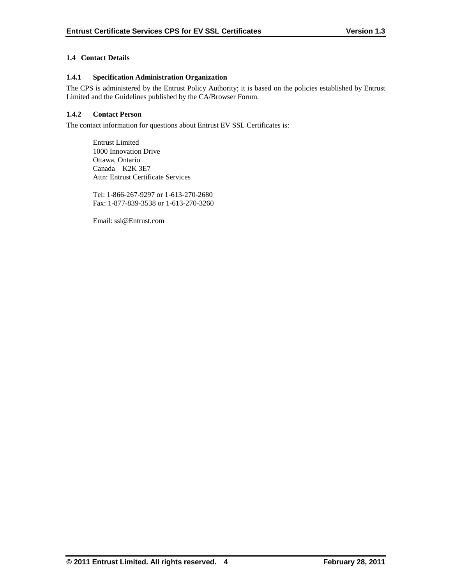# **1.4 Contact Details**

# **1.4.1 Specification Administration Organization**

The CPS is administered by the Entrust Policy Authority; it is based on the policies established by Entrust Limited and the Guidelines published by the CA/Browser Forum.

# **1.4.2 Contact Person**

The contact information for questions about Entrust EV SSL Certificates is:

Entrust Limited 1000 Innovation Drive Ottawa, Ontario Canada K2K 3E7 Attn: Entrust Certificate Services

Tel: 1-866-267-9297 or 1-613-270-2680 Fax: 1-877-839-3538 or 1-613-270-3260

Email: ssl@Entrust.com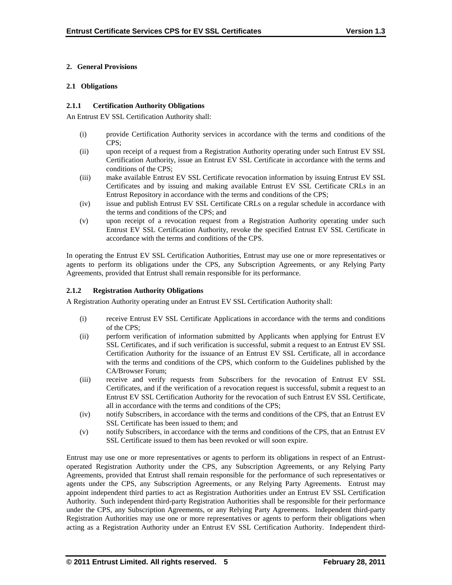## **2. General Provisions**

### **2.1 Obligations**

## **2.1.1 Certification Authority Obligations**

An Entrust EV SSL Certification Authority shall:

- (i) provide Certification Authority services in accordance with the terms and conditions of the CPS;
- (ii) upon receipt of a request from a Registration Authority operating under such Entrust EV SSL Certification Authority, issue an Entrust EV SSL Certificate in accordance with the terms and conditions of the CPS;
- (iii) make available Entrust EV SSL Certificate revocation information by issuing Entrust EV SSL Certificates and by issuing and making available Entrust EV SSL Certificate CRLs in an Entrust Repository in accordance with the terms and conditions of the CPS;
- (iv) issue and publish Entrust EV SSL Certificate CRLs on a regular schedule in accordance with the terms and conditions of the CPS; and
- (v) upon receipt of a revocation request from a Registration Authority operating under such Entrust EV SSL Certification Authority, revoke the specified Entrust EV SSL Certificate in accordance with the terms and conditions of the CPS.

In operating the Entrust EV SSL Certification Authorities, Entrust may use one or more representatives or agents to perform its obligations under the CPS, any Subscription Agreements, or any Relying Party Agreements, provided that Entrust shall remain responsible for its performance.

## **2.1.2 Registration Authority Obligations**

A Registration Authority operating under an Entrust EV SSL Certification Authority shall:

- (i) receive Entrust EV SSL Certificate Applications in accordance with the terms and conditions of the CPS;
- (ii) perform verification of information submitted by Applicants when applying for Entrust EV SSL Certificates, and if such verification is successful, submit a request to an Entrust EV SSL Certification Authority for the issuance of an Entrust EV SSL Certificate, all in accordance with the terms and conditions of the CPS, which conform to the Guidelines published by the CA/Browser Forum;
- (iii) receive and verify requests from Subscribers for the revocation of Entrust EV SSL Certificates, and if the verification of a revocation request is successful, submit a request to an Entrust EV SSL Certification Authority for the revocation of such Entrust EV SSL Certificate, all in accordance with the terms and conditions of the CPS;
- (iv) notify Subscribers, in accordance with the terms and conditions of the CPS, that an Entrust EV SSL Certificate has been issued to them; and
- (v) notify Subscribers, in accordance with the terms and conditions of the CPS, that an Entrust EV SSL Certificate issued to them has been revoked or will soon expire.

Entrust may use one or more representatives or agents to perform its obligations in respect of an Entrustoperated Registration Authority under the CPS, any Subscription Agreements, or any Relying Party Agreements, provided that Entrust shall remain responsible for the performance of such representatives or agents under the CPS, any Subscription Agreements, or any Relying Party Agreements. Entrust may appoint independent third parties to act as Registration Authorities under an Entrust EV SSL Certification Authority. Such independent third-party Registration Authorities shall be responsible for their performance under the CPS, any Subscription Agreements, or any Relying Party Agreements. Independent third-party Registration Authorities may use one or more representatives or agents to perform their obligations when acting as a Registration Authority under an Entrust EV SSL Certification Authority. Independent third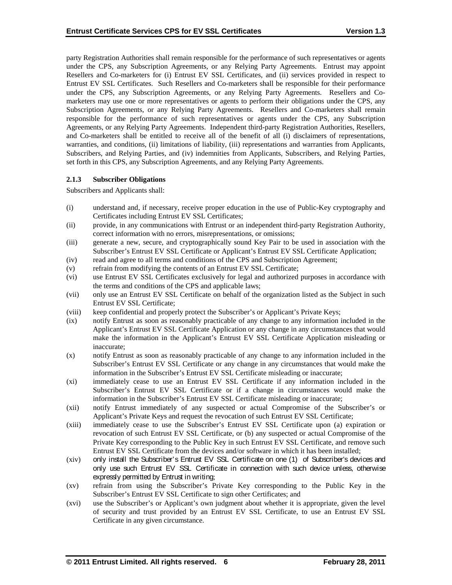party Registration Authorities shall remain responsible for the performance of such representatives or agents under the CPS, any Subscription Agreements, or any Relying Party Agreements. Entrust may appoint Resellers and Co-marketers for (i) Entrust EV SSL Certificates, and (ii) services provided in respect to Entrust EV SSL Certificates. Such Resellers and Co-marketers shall be responsible for their performance under the CPS, any Subscription Agreements, or any Relying Party Agreements. Resellers and Comarketers may use one or more representatives or agents to perform their obligations under the CPS, any Subscription Agreements, or any Relying Party Agreements. Resellers and Co-marketers shall remain responsible for the performance of such representatives or agents under the CPS, any Subscription Agreements, or any Relying Party Agreements. Independent third-party Registration Authorities, Resellers, and Co-marketers shall be entitled to receive all of the benefit of all (i) disclaimers of representations, warranties, and conditions, (ii) limitations of liability, (iii) representations and warranties from Applicants, Subscribers, and Relying Parties, and (iv) indemnities from Applicants, Subscribers, and Relying Parties, set forth in this CPS, any Subscription Agreements, and any Relying Party Agreements.

#### **2.1.3 Subscriber Obligations**

Subscribers and Applicants shall:

- (i) understand and, if necessary, receive proper education in the use of Public-Key cryptography and Certificates including Entrust EV SSL Certificates;
- (ii) provide, in any communications with Entrust or an independent third-party Registration Authority, correct information with no errors, misrepresentations, or omissions;
- (iii) generate a new, secure, and cryptographically sound Key Pair to be used in association with the Subscriber's Entrust EV SSL Certificate or Applicant's Entrust EV SSL Certificate Application;
- (iv) read and agree to all terms and conditions of the CPS and Subscription Agreement;
- (v) refrain from modifying the contents of an Entrust EV SSL Certificate;
- (vi) use Entrust EV SSL Certificates exclusively for legal and authorized purposes in accordance with the terms and conditions of the CPS and applicable laws;
- (vii) only use an Entrust EV SSL Certificate on behalf of the organization listed as the Subject in such Entrust EV SSL Certificate;
- (viii) keep confidential and properly protect the Subscriber's or Applicant's Private Keys;
- (ix) notify Entrust as soon as reasonably practicable of any change to any information included in the Applicant's Entrust EV SSL Certificate Application or any change in any circumstances that would make the information in the Applicant's Entrust EV SSL Certificate Application misleading or inaccurate;
- (x) notify Entrust as soon as reasonably practicable of any change to any information included in the Subscriber's Entrust EV SSL Certificate or any change in any circumstances that would make the information in the Subscriber's Entrust EV SSL Certificate misleading or inaccurate;
- (xi) immediately cease to use an Entrust EV SSL Certificate if any information included in the Subscriber's Entrust EV SSL Certificate or if a change in circumstances would make the information in the Subscriber's Entrust EV SSL Certificate misleading or inaccurate;
- (xii) notify Entrust immediately of any suspected or actual Compromise of the Subscriber's or Applicant's Private Keys and request the revocation of such Entrust EV SSL Certificate;
- (xiii) immediately cease to use the Subscriber's Entrust EV SSL Certificate upon (a) expiration or revocation of such Entrust EV SSL Certificate, or (b) any suspected or actual Compromise of the Private Key corresponding to the Public Key in such Entrust EV SSL Certificate, and remove such Entrust EV SSL Certificate from the devices and/or software in which it has been installed;
- (xiv) only install the Subscriber's Entrust EV SSL Certificate on one (1) of Subscriber's devices and only use such Entrust EV SSL Certificate in connection with such device unless, otherwise expressly permitted by Entrust in writing;
- (xv) refrain from using the Subscriber's Private Key corresponding to the Public Key in the Subscriber's Entrust EV SSL Certificate to sign other Certificates; and
- (xvi) use the Subscriber's or Applicant's own judgment about whether it is appropriate, given the level of security and trust provided by an Entrust EV SSL Certificate, to use an Entrust EV SSL Certificate in any given circumstance.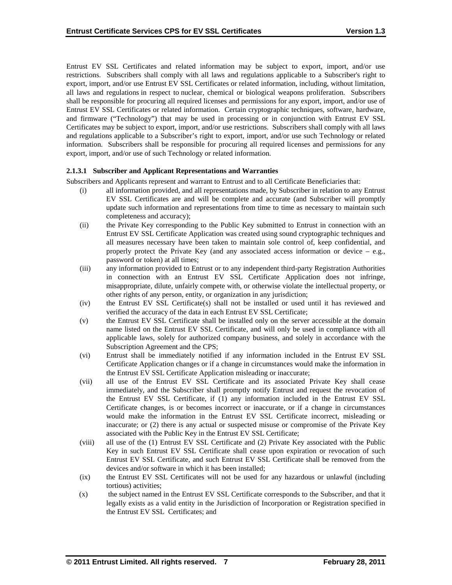Entrust EV SSL Certificates and related information may be subject to export, import, and/or use restrictions. Subscribers shall comply with all laws and regulations applicable to a Subscriber's right to export, import, and/or use Entrust EV SSL Certificates or related information, including, without limitation, all laws and regulations in respect to nuclear, chemical or biological weapons proliferation. Subscribers shall be responsible for procuring all required licenses and permissions for any export, import, and/or use of Entrust EV SSL Certificates or related information. Certain cryptographic techniques, software, hardware, and firmware ("Technology") that may be used in processing or in conjunction with Entrust EV SSL Certificates may be subject to export, import, and/or use restrictions. Subscribers shall comply with all laws and regulations applicable to a Subscriber's right to export, import, and/or use such Technology or related information. Subscribers shall be responsible for procuring all required licenses and permissions for any export, import, and/or use of such Technology or related information.

## **2.1.3.1 Subscriber and Applicant Representations and Warranties**

Subscribers and Applicants represent and warrant to Entrust and to all Certificate Beneficiaries that:

- (i) all information provided, and all representations made, by Subscriber in relation to any Entrust EV SSL Certificates are and will be complete and accurate (and Subscriber will promptly update such information and representations from time to time as necessary to maintain such completeness and accuracy);
- (ii) the Private Key corresponding to the Public Key submitted to Entrust in connection with an Entrust EV SSL Certificate Application was created using sound cryptographic techniques and all measures necessary have been taken to maintain sole control of, keep confidential, and properly protect the Private Key (and any associated access information or device  $-$  e.g., password or token) at all times;
- (iii) any information provided to Entrust or to any independent third-party Registration Authorities in connection with an Entrust EV SSL Certificate Application does not infringe, misappropriate, dilute, unfairly compete with, or otherwise violate the intellectual property, or other rights of any person, entity, or organization in any jurisdiction;
- (iv) the Entrust EV SSL Certificate(s) shall not be installed or used until it has reviewed and verified the accuracy of the data in each Entrust EV SSL Certificate;
- (v) the Entrust EV SSL Certificate shall be installed only on the server accessible at the domain name listed on the Entrust EV SSL Certificate, and will only be used in compliance with all applicable laws, solely for authorized company business, and solely in accordance with the Subscription Agreement and the CPS;
- (vi) Entrust shall be immediately notified if any information included in the Entrust EV SSL Certificate Application changes or if a change in circumstances would make the information in the Entrust EV SSL Certificate Application misleading or inaccurate;
- (vii) all use of the Entrust EV SSL Certificate and its associated Private Key shall cease immediately, and the Subscriber shall promptly notify Entrust and request the revocation of the Entrust EV SSL Certificate, if (1) any information included in the Entrust EV SSL Certificate changes, is or becomes incorrect or inaccurate, or if a change in circumstances would make the information in the Entrust EV SSL Certificate incorrect, misleading or inaccurate; or (2) there is any actual or suspected misuse or compromise of the Private Key associated with the Public Key in the Entrust EV SSL Certificate;
- (viii) all use of the (1) Entrust EV SSL Certificate and (2) Private Key associated with the Public Key in such Entrust EV SSL Certificate shall cease upon expiration or revocation of such Entrust EV SSL Certificate, and such Entrust EV SSL Certificate shall be removed from the devices and/or software in which it has been installed;
- (ix) the Entrust EV SSL Certificates will not be used for any hazardous or unlawful (including tortious) activities;
- (x) the subject named in the Entrust EV SSL Certificate corresponds to the Subscriber, and that it legally exists as a valid entity in the Jurisdiction of Incorporation or Registration specified in the Entrust EV SSL Certificates; and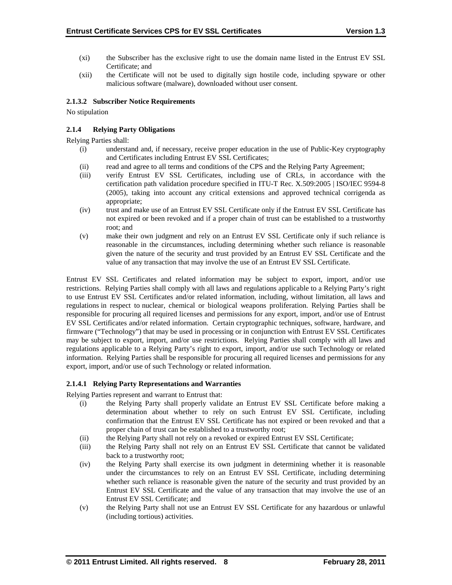- (xi) the Subscriber has the exclusive right to use the domain name listed in the Entrust EV SSL Certificate; and
- (xii) the Certificate will not be used to digitally sign hostile code, including spyware or other malicious software (malware), downloaded without user consent.

# **2.1.3.2 Subscriber Notice Requirements**

No stipulation

# **2.1.4 Relying Party Obligations**

Relying Parties shall:

- (i) understand and, if necessary, receive proper education in the use of Public-Key cryptography and Certificates including Entrust EV SSL Certificates;
- (ii) read and agree to all terms and conditions of the CPS and the Relying Party Agreement;
- (iii) verify Entrust EV SSL Certificates, including use of CRLs, in accordance with the certification path validation procedure specified in ITU-T Rec. X.509:2005 | ISO/IEC 9594-8 (2005), taking into account any critical extensions and approved technical corrigenda as appropriate;
- (iv) trust and make use of an Entrust EV SSL Certificate only if the Entrust EV SSL Certificate has not expired or been revoked and if a proper chain of trust can be established to a trustworthy root; and
- (v) make their own judgment and rely on an Entrust EV SSL Certificate only if such reliance is reasonable in the circumstances, including determining whether such reliance is reasonable given the nature of the security and trust provided by an Entrust EV SSL Certificate and the value of any transaction that may involve the use of an Entrust EV SSL Certificate.

Entrust EV SSL Certificates and related information may be subject to export, import, and/or use restrictions. Relying Parties shall comply with all laws and regulations applicable to a Relying Party's right to use Entrust EV SSL Certificates and/or related information, including, without limitation, all laws and regulations in respect to nuclear, chemical or biological weapons proliferation. Relying Parties shall be responsible for procuring all required licenses and permissions for any export, import, and/or use of Entrust EV SSL Certificates and/or related information. Certain cryptographic techniques, software, hardware, and firmware ("Technology") that may be used in processing or in conjunction with Entrust EV SSL Certificates may be subject to export, import, and/or use restrictions. Relying Parties shall comply with all laws and regulations applicable to a Relying Party's right to export, import, and/or use such Technology or related information. Relying Parties shall be responsible for procuring all required licenses and permissions for any export, import, and/or use of such Technology or related information.

#### **2.1.4.1 Relying Party Representations and Warranties**

Relying Parties represent and warrant to Entrust that:

- (i) the Relying Party shall properly validate an Entrust EV SSL Certificate before making a determination about whether to rely on such Entrust EV SSL Certificate, including confirmation that the Entrust EV SSL Certificate has not expired or been revoked and that a proper chain of trust can be established to a trustworthy root;
- (ii) the Relying Party shall not rely on a revoked or expired Entrust EV SSL Certificate;
- (iii) the Relying Party shall not rely on an Entrust EV SSL Certificate that cannot be validated back to a trustworthy root;
- (iv) the Relying Party shall exercise its own judgment in determining whether it is reasonable under the circumstances to rely on an Entrust EV SSL Certificate, including determining whether such reliance is reasonable given the nature of the security and trust provided by an Entrust EV SSL Certificate and the value of any transaction that may involve the use of an Entrust EV SSL Certificate; and
- (v) the Relying Party shall not use an Entrust EV SSL Certificate for any hazardous or unlawful (including tortious) activities.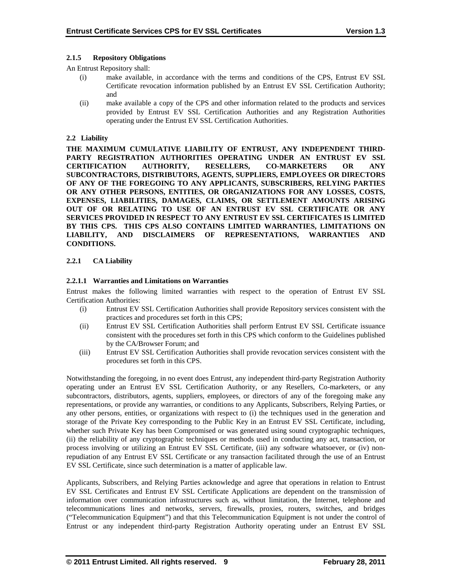### **2.1.5 Repository Obligations**

An Entrust Repository shall:

- (i) make available, in accordance with the terms and conditions of the CPS, Entrust EV SSL Certificate revocation information published by an Entrust EV SSL Certification Authority; and
- (ii) make available a copy of the CPS and other information related to the products and services provided by Entrust EV SSL Certification Authorities and any Registration Authorities operating under the Entrust EV SSL Certification Authorities.

## **2.2 Liability**

**THE MAXIMUM CUMULATIVE LIABILITY OF ENTRUST, ANY INDEPENDENT THIRD-PARTY REGISTRATION AUTHORITIES OPERATING UNDER AN ENTRUST EV SSL CERTIFICATION AUTHORITY, RESELLERS, CO-MARKETERS OR ANY SUBCONTRACTORS, DISTRIBUTORS, AGENTS, SUPPLIERS, EMPLOYEES OR DIRECTORS OF ANY OF THE FOREGOING TO ANY APPLICANTS, SUBSCRIBERS, RELYING PARTIES OR ANY OTHER PERSONS, ENTITIES, OR ORGANIZATIONS FOR ANY LOSSES, COSTS, EXPENSES, LIABILITIES, DAMAGES, CLAIMS, OR SETTLEMENT AMOUNTS ARISING OUT OF OR RELATING TO USE OF AN ENTRUST EV SSL CERTIFICATE OR ANY SERVICES PROVIDED IN RESPECT TO ANY ENTRUST EV SSL CERTIFICATES IS LIMITED BY THIS CPS. THIS CPS ALSO CONTAINS LIMITED WARRANTIES, LIMITATIONS ON LIABILITY, AND DISCLAIMERS OF REPRESENTATIONS, WARRANTIES AND CONDITIONS.**

## **2.2.1 CA Liability**

## **2.2.1.1 Warranties and Limitations on Warranties**

Entrust makes the following limited warranties with respect to the operation of Entrust EV SSL Certification Authorities:

- (i) Entrust EV SSL Certification Authorities shall provide Repository services consistent with the practices and procedures set forth in this CPS;
- (ii) Entrust EV SSL Certification Authorities shall perform Entrust EV SSL Certificate issuance consistent with the procedures set forth in this CPS which conform to the Guidelines published by the CA/Browser Forum; and
- (iii) Entrust EV SSL Certification Authorities shall provide revocation services consistent with the procedures set forth in this CPS.

Notwithstanding the foregoing, in no event does Entrust, any independent third-party Registration Authority operating under an Entrust EV SSL Certification Authority, or any Resellers, Co-marketers, or any subcontractors, distributors, agents, suppliers, employees, or directors of any of the foregoing make any representations, or provide any warranties, or conditions to any Applicants, Subscribers, Relying Parties, or any other persons, entities, or organizations with respect to (i) the techniques used in the generation and storage of the Private Key corresponding to the Public Key in an Entrust EV SSL Certificate, including, whether such Private Key has been Compromised or was generated using sound cryptographic techniques, (ii) the reliability of any cryptographic techniques or methods used in conducting any act, transaction, or process involving or utilizing an Entrust EV SSL Certificate, (iii) any software whatsoever, or (iv) nonrepudiation of any Entrust EV SSL Certificate or any transaction facilitated through the use of an Entrust EV SSL Certificate, since such determination is a matter of applicable law.

Applicants, Subscribers, and Relying Parties acknowledge and agree that operations in relation to Entrust EV SSL Certificates and Entrust EV SSL Certificate Applications are dependent on the transmission of information over communication infrastructures such as, without limitation, the Internet, telephone and telecommunications lines and networks, servers, firewalls, proxies, routers, switches, and bridges ("Telecommunication Equipment") and that this Telecommunication Equipment is not under the control of Entrust or any independent third-party Registration Authority operating under an Entrust EV SSL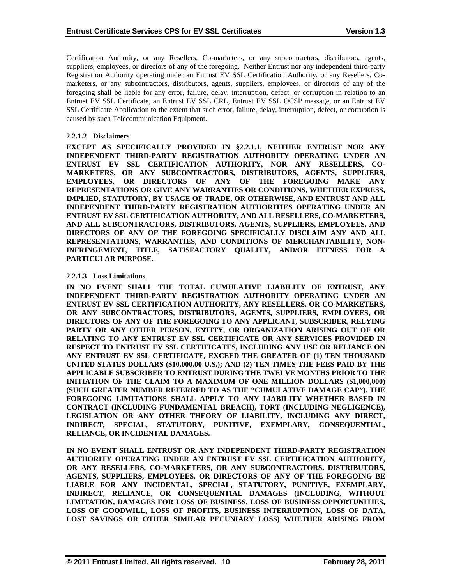Certification Authority, or any Resellers, Co-marketers, or any subcontractors, distributors, agents, suppliers, employees, or directors of any of the foregoing. Neither Entrust nor any independent third-party Registration Authority operating under an Entrust EV SSL Certification Authority, or any Resellers, Comarketers, or any subcontractors, distributors, agents, suppliers, employees, or directors of any of the foregoing shall be liable for any error, failure, delay, interruption, defect, or corruption in relation to an Entrust EV SSL Certificate, an Entrust EV SSL CRL, Entrust EV SSL OCSP message, or an Entrust EV SSL Certificate Application to the extent that such error, failure, delay, interruption, defect, or corruption is caused by such Telecommunication Equipment.

## **2.2.1.2 Disclaimers**

**EXCEPT AS SPECIFICALLY PROVIDED IN §2.2.1.1, NEITHER ENTRUST NOR ANY INDEPENDENT THIRD-PARTY REGISTRATION AUTHORITY OPERATING UNDER AN ENTRUST EV SSL CERTIFICATION AUTHORITY, NOR ANY RESELLERS, CO-MARKETERS, OR ANY SUBCONTRACTORS, DISTRIBUTORS, AGENTS, SUPPLIERS, EMPLOYEES, OR DIRECTORS OF ANY OF THE FOREGOING MAKE ANY REPRESENTATIONS OR GIVE ANY WARRANTIES OR CONDITIONS, WHETHER EXPRESS, IMPLIED, STATUTORY, BY USAGE OF TRADE, OR OTHERWISE, AND ENTRUST AND ALL INDEPENDENT THIRD-PARTY REGISTRATION AUTHORITIES OPERATING UNDER AN ENTRUST EV SSL CERTIFICATION AUTHORITY, AND ALL RESELLERS, CO-MARKETERS, AND ALL SUBCONTRACTORS, DISTRIBUTORS, AGENTS, SUPPLIERS, EMPLOYEES, AND DIRECTORS OF ANY OF THE FOREGOING SPECIFICALLY DISCLAIM ANY AND ALL REPRESENTATIONS, WARRANTIES, AND CONDITIONS OF MERCHANTABILITY, NON-INFRINGEMENT, TITLE, SATISFACTORY QUALITY, AND/OR FITNESS FOR A PARTICULAR PURPOSE.**

#### **2.2.1.3 Loss Limitations**

**IN NO EVENT SHALL THE TOTAL CUMULATIVE LIABILITY OF ENTRUST, ANY INDEPENDENT THIRD-PARTY REGISTRATION AUTHORITY OPERATING UNDER AN ENTRUST EV SSL CERTIFICATION AUTHORITY, ANY RESELLERS, OR CO-MARKETERS, OR ANY SUBCONTRACTORS, DISTRIBUTORS, AGENTS, SUPPLIERS, EMPLOYEES, OR DIRECTORS OF ANY OF THE FOREGOING TO ANY APPLICANT, SUBSCRIBER, RELYING PARTY OR ANY OTHER PERSON, ENTITY, OR ORGANIZATION ARISING OUT OF OR RELATING TO ANY ENTRUST EV SSL CERTIFICATE OR ANY SERVICES PROVIDED IN RESPECT TO ENTRUST EV SSL CERTIFICATES, INCLUDING ANY USE OR RELIANCE ON ANY ENTRUST EV SSL CERTIFICATE, EXCEED THE GREATER OF (1) TEN THOUSAND UNITED STATES DOLLARS (\$10,000.00 U.S.); AND (2) TEN TIMES THE FEES PAID BY THE APPLICABLE SUBSCRIBER TO ENTRUST DURING THE TWELVE MONTHS PRIOR TO THE INITIATION OF THE CLAIM TO A MAXIMUM OF ONE MILLION DOLLARS (\$1,000,000) (SUCH GREATER NUMBER REFERRED TO AS THE "CUMULATIVE DAMAGE CAP"). THE FOREGOING LIMITATIONS SHALL APPLY TO ANY LIABILITY WHETHER BASED IN CONTRACT (INCLUDING FUNDAMENTAL BREACH), TORT (INCLUDING NEGLIGENCE), LEGISLATION OR ANY OTHER THEORY OF LIABILITY, INCLUDING ANY DIRECT, INDIRECT, SPECIAL, STATUTORY, PUNITIVE, EXEMPLARY, CONSEQUENTIAL, RELIANCE, OR INCIDENTAL DAMAGES.**

**IN NO EVENT SHALL ENTRUST OR ANY INDEPENDENT THIRD-PARTY REGISTRATION AUTHORITY OPERATING UNDER AN ENTRUST EV SSL CERTIFICATION AUTHORITY, OR ANY RESELLERS, CO-MARKETERS, OR ANY SUBCONTRACTORS, DISTRIBUTORS, AGENTS, SUPPLIERS, EMPLOYEES, OR DIRECTORS OF ANY OF THE FOREGOING BE LIABLE FOR ANY INCIDENTAL, SPECIAL, STATUTORY, PUNITIVE, EXEMPLARY, INDIRECT, RELIANCE, OR CONSEQUENTIAL DAMAGES (INCLUDING, WITHOUT LIMITATION, DAMAGES FOR LOSS OF BUSINESS, LOSS OF BUSINESS OPPORTUNITIES, LOSS OF GOODWILL, LOSS OF PROFITS, BUSINESS INTERRUPTION, LOSS OF DATA, LOST SAVINGS OR OTHER SIMILAR PECUNIARY LOSS) WHETHER ARISING FROM**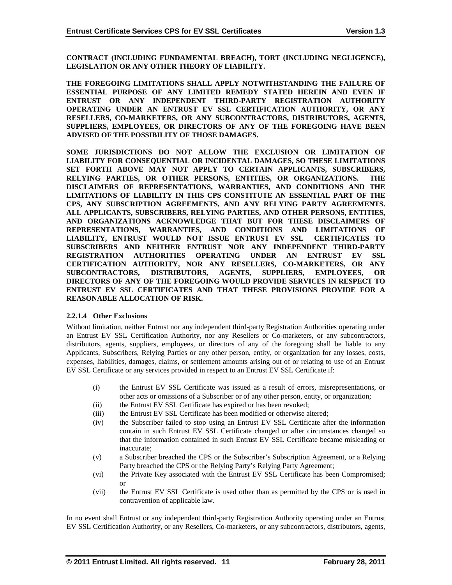**CONTRACT (INCLUDING FUNDAMENTAL BREACH), TORT (INCLUDING NEGLIGENCE), LEGISLATION OR ANY OTHER THEORY OF LIABILITY.** 

**THE FOREGOING LIMITATIONS SHALL APPLY NOTWITHSTANDING THE FAILURE OF ESSENTIAL PURPOSE OF ANY LIMITED REMEDY STATED HEREIN AND EVEN IF ENTRUST OR ANY INDEPENDENT THIRD-PARTY REGISTRATION AUTHORITY OPERATING UNDER AN ENTRUST EV SSL CERTIFICATION AUTHORITY, OR ANY RESELLERS, CO-MARKETERS, OR ANY SUBCONTRACTORS, DISTRIBUTORS, AGENTS, SUPPLIERS, EMPLOYEES, OR DIRECTORS OF ANY OF THE FOREGOING HAVE BEEN ADVISED OF THE POSSIBILITY OF THOSE DAMAGES.**

**SOME JURISDICTIONS DO NOT ALLOW THE EXCLUSION OR LIMITATION OF LIABILITY FOR CONSEQUENTIAL OR INCIDENTAL DAMAGES, SO THESE LIMITATIONS SET FORTH ABOVE MAY NOT APPLY TO CERTAIN APPLICANTS, SUBSCRIBERS, RELYING PARTIES, OR OTHER PERSONS, ENTITIES, OR ORGANIZATIONS. THE DISCLAIMERS OF REPRESENTATIONS, WARRANTIES, AND CONDITIONS AND THE LIMITATIONS OF LIABILITY IN THIS CPS CONSTITUTE AN ESSENTIAL PART OF THE CPS, ANY SUBSCRIPTION AGREEMENTS, AND ANY RELYING PARTY AGREEMENTS. ALL APPLICANTS, SUBSCRIBERS, RELYING PARTIES, AND OTHER PERSONS, ENTITIES, AND ORGANIZATIONS ACKNOWLEDGE THAT BUT FOR THESE DISCLAIMERS OF REPRESENTATIONS, WARRANTIES, AND CONDITIONS AND LIMITATIONS OF LIABILITY, ENTRUST WOULD NOT ISSUE ENTRUST EV SSL CERTIFICATES TO SUBSCRIBERS AND NEITHER ENTRUST NOR ANY INDEPENDENT THIRD-PARTY REGISTRATION AUTHORITIES OPERATING UNDER AN ENTRUST EV SSL CERTIFICATION AUTHORITY, NOR ANY RESELLERS, CO-MARKETERS, OR ANY SUBCONTRACTORS, DISTRIBUTORS, AGENTS, SUPPLIERS, EMPLOYEES, OR DIRECTORS OF ANY OF THE FOREGOING WOULD PROVIDE SERVICES IN RESPECT TO ENTRUST EV SSL CERTIFICATES AND THAT THESE PROVISIONS PROVIDE FOR A REASONABLE ALLOCATION OF RISK.**

#### **2.2.1.4 Other Exclusions**

Without limitation, neither Entrust nor any independent third-party Registration Authorities operating under an Entrust EV SSL Certification Authority, nor any Resellers or Co-marketers, or any subcontractors, distributors, agents, suppliers, employees, or directors of any of the foregoing shall be liable to any Applicants, Subscribers, Relying Parties or any other person, entity, or organization for any losses, costs, expenses, liabilities, damages, claims, or settlement amounts arising out of or relating to use of an Entrust EV SSL Certificate or any services provided in respect to an Entrust EV SSL Certificate if:

- (i) the Entrust EV SSL Certificate was issued as a result of errors, misrepresentations, or other acts or omissions of a Subscriber or of any other person, entity, or organization;
- (ii) the Entrust EV SSL Certificate has expired or has been revoked;
- (iii) the Entrust EV SSL Certificate has been modified or otherwise altered;
- (iv) the Subscriber failed to stop using an Entrust EV SSL Certificate after the information contain in such Entrust EV SSL Certificate changed or after circumstances changed so that the information contained in such Entrust EV SSL Certificate became misleading or inaccurate;
- (v) a Subscriber breached the CPS or the Subscriber's Subscription Agreement, or a Relying Party breached the CPS or the Relying Party's Relying Party Agreement;
- (vi) the Private Key associated with the Entrust EV SSL Certificate has been Compromised; or
- (vii) the Entrust EV SSL Certificate is used other than as permitted by the CPS or is used in contravention of applicable law.

In no event shall Entrust or any independent third-party Registration Authority operating under an Entrust EV SSL Certification Authority, or any Resellers, Co-marketers, or any subcontractors, distributors, agents,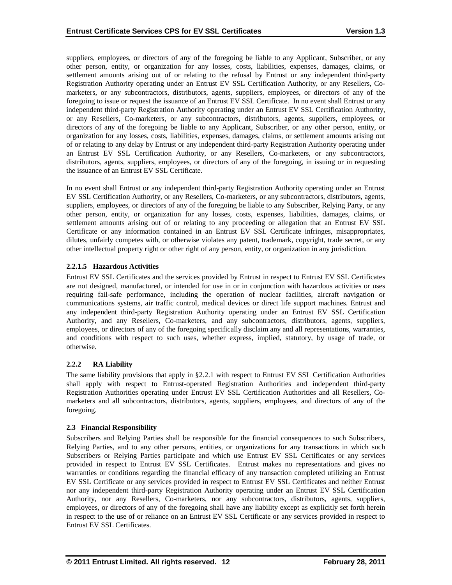suppliers, employees, or directors of any of the foregoing be liable to any Applicant, Subscriber, or any other person, entity, or organization for any losses, costs, liabilities, expenses, damages, claims, or settlement amounts arising out of or relating to the refusal by Entrust or any independent third-party Registration Authority operating under an Entrust EV SSL Certification Authority, or any Resellers, Comarketers, or any subcontractors, distributors, agents, suppliers, employees, or directors of any of the foregoing to issue or request the issuance of an Entrust EV SSL Certificate. In no event shall Entrust or any independent third-party Registration Authority operating under an Entrust EV SSL Certification Authority, or any Resellers, Co-marketers, or any subcontractors, distributors, agents, suppliers, employees, or directors of any of the foregoing be liable to any Applicant, Subscriber, or any other person, entity, or organization for any losses, costs, liabilities, expenses, damages, claims, or settlement amounts arising out of or relating to any delay by Entrust or any independent third-party Registration Authority operating under an Entrust EV SSL Certification Authority, or any Resellers, Co-marketers, or any subcontractors, distributors, agents, suppliers, employees, or directors of any of the foregoing, in issuing or in requesting the issuance of an Entrust EV SSL Certificate.

In no event shall Entrust or any independent third-party Registration Authority operating under an Entrust EV SSL Certification Authority, or any Resellers, Co-marketers, or any subcontractors, distributors, agents, suppliers, employees, or directors of any of the foregoing be liable to any Subscriber, Relying Party, or any other person, entity, or organization for any losses, costs, expenses, liabilities, damages, claims, or settlement amounts arising out of or relating to any proceeding or allegation that an Entrust EV SSL Certificate or any information contained in an Entrust EV SSL Certificate infringes, misappropriates, dilutes, unfairly competes with, or otherwise violates any patent, trademark, copyright, trade secret, or any other intellectual property right or other right of any person, entity, or organization in any jurisdiction.

## **2.2.1.5 Hazardous Activities**

Entrust EV SSL Certificates and the services provided by Entrust in respect to Entrust EV SSL Certificates are not designed, manufactured, or intended for use in or in conjunction with hazardous activities or uses requiring fail-safe performance, including the operation of nuclear facilities, aircraft navigation or communications systems, air traffic control, medical devices or direct life support machines. Entrust and any independent third-party Registration Authority operating under an Entrust EV SSL Certification Authority, and any Resellers, Co-marketers, and any subcontractors, distributors, agents, suppliers, employees, or directors of any of the foregoing specifically disclaim any and all representations, warranties, and conditions with respect to such uses, whether express, implied, statutory, by usage of trade, or otherwise.

# **2.2.2 RA Liability**

The same liability provisions that apply in §2.2.1 with respect to Entrust EV SSL Certification Authorities shall apply with respect to Entrust-operated Registration Authorities and independent third-party Registration Authorities operating under Entrust EV SSL Certification Authorities and all Resellers, Comarketers and all subcontractors, distributors, agents, suppliers, employees, and directors of any of the foregoing.

#### **2.3 Financial Responsibility**

Subscribers and Relying Parties shall be responsible for the financial consequences to such Subscribers, Relying Parties, and to any other persons, entities, or organizations for any transactions in which such Subscribers or Relying Parties participate and which use Entrust EV SSL Certificates or any services provided in respect to Entrust EV SSL Certificates. Entrust makes no representations and gives no warranties or conditions regarding the financial efficacy of any transaction completed utilizing an Entrust EV SSL Certificate or any services provided in respect to Entrust EV SSL Certificates and neither Entrust nor any independent third-party Registration Authority operating under an Entrust EV SSL Certification Authority, nor any Resellers, Co-marketers, nor any subcontractors, distributors, agents, suppliers, employees, or directors of any of the foregoing shall have any liability except as explicitly set forth herein in respect to the use of or reliance on an Entrust EV SSL Certificate or any services provided in respect to Entrust EV SSL Certificates.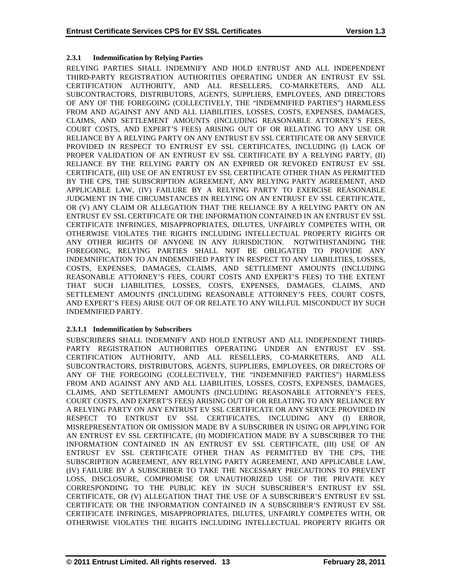# **2.3.1 Indemnification by Relying Parties**

RELYING PARTIES SHALL INDEMNIFY AND HOLD ENTRUST AND ALL INDEPENDENT THIRD-PARTY REGISTRATION AUTHORITIES OPERATING UNDER AN ENTRUST EV SSL CERTIFICATION AUTHORITY, AND ALL RESELLERS, CO-MARKETERS, AND ALL SUBCONTRACTORS, DISTRIBUTORS, AGENTS, SUPPLIERS, EMPLOYEES, AND DIRECTORS OF ANY OF THE FOREGOING (COLLECTIVELY, THE "INDEMNIFIED PARTIES") HARMLESS FROM AND AGAINST ANY AND ALL LIABILITIES, LOSSES, COSTS, EXPENSES, DAMAGES, CLAIMS, AND SETTLEMENT AMOUNTS (INCLUDING REASONABLE ATTORNEY'S FEES, COURT COSTS, AND EXPERT'S FEES) ARISING OUT OF OR RELATING TO ANY USE OR RELIANCE BY A RELYING PARTY ON ANY ENTRUST EV SSL CERTIFICATE OR ANY SERVICE PROVIDED IN RESPECT TO ENTRUST EV SSL CERTIFICATES, INCLUDING (I) LACK OF PROPER VALIDATION OF AN ENTRUST EV SSL CERTIFICATE BY A RELYING PARTY, (II) RELIANCE BY THE RELYING PARTY ON AN EXPIRED OR REVOKED ENTRUST EV SSL CERTIFICATE, (III) USE OF AN ENTRUST EV SSL CERTIFICATE OTHER THAN AS PERMITTED BY THE CPS, THE SUBSCRIPTION AGREEMENT, ANY RELYING PARTY AGREEMENT, AND APPLICABLE LAW, (IV) FAILURE BY A RELYING PARTY TO EXERCISE REASONABLE JUDGMENT IN THE CIRCUMSTANCES IN RELYING ON AN ENTRUST EV SSL CERTIFICATE, OR (V) ANY CLAIM OR ALLEGATION THAT THE RELIANCE BY A RELYING PARTY ON AN ENTRUST EV SSL CERTIFICATE OR THE INFORMATION CONTAINED IN AN ENTRUST EV SSL CERTIFICATE INFRINGES, MISAPPROPRIATES, DILUTES, UNFAIRLY COMPETES WITH, OR OTHERWISE VIOLATES THE RIGHTS INCLUDING INTELLECTUAL PROPERTY RIGHTS OR ANY OTHER RIGHTS OF ANYONE IN ANY JURISDICTION. NOTWITHSTANDING THE FOREGOING, RELYING PARTIES SHALL NOT BE OBLIGATED TO PROVIDE ANY INDEMNIFICATION TO AN INDEMNIFIED PARTY IN RESPECT TO ANY LIABILITIES, LOSSES, COSTS, EXPENSES, DAMAGES, CLAIMS, AND SETTLEMENT AMOUNTS (INCLUDING REASONABLE ATTORNEY'S FEES, COURT COSTS AND EXPERT'S FEES) TO THE EXTENT THAT SUCH LIABILITIES, LOSSES, COSTS, EXPENSES, DAMAGES, CLAIMS, AND SETTLEMENT AMOUNTS (INCLUDING REASONABLE ATTORNEY'S FEES, COURT COSTS, AND EXPERT'S FEES) ARISE OUT OF OR RELATE TO ANY WILLFUL MISCONDUCT BY SUCH INDEMNIFIED PARTY.

# **2.3.1.1 Indemnification by Subscribers**

SUBSCRIBERS SHALL INDEMNIFY AND HOLD ENTRUST AND ALL INDEPENDENT THIRD-PARTY REGISTRATION AUTHORITIES OPERATING UNDER AN ENTRUST EV SSL CERTIFICATION AUTHORITY, AND ALL RESELLERS, CO-MARKETERS, AND ALL SUBCONTRACTORS, DISTRIBUTORS, AGENTS, SUPPLIERS, EMPLOYEES, OR DIRECTORS OF ANY OF THE FOREGOING (COLLECTIVELY, THE "INDEMNIFIED PARTIES") HARMLESS FROM AND AGAINST ANY AND ALL LIABILITIES, LOSSES, COSTS, EXPENSES, DAMAGES, CLAIMS, AND SETTLEMENT AMOUNTS (INCLUDING REASONABLE ATTORNEY'S FEES, COURT COSTS, AND EXPERT'S FEES) ARISING OUT OF OR RELATING TO ANY RELIANCE BY A RELYING PARTY ON ANY ENTRUST EV SSL CERTIFICATE OR ANY SERVICE PROVIDED IN RESPECT TO ENTRUST EV SSL CERTIFICATES, INCLUDING ANY (I) ERROR, MISREPRESENTATION OR OMISSION MADE BY A SUBSCRIBER IN USING OR APPLYING FOR AN ENTRUST EV SSL CERTIFICATE, (II) MODIFICATION MADE BY A SUBSCRIBER TO THE INFORMATION CONTAINED IN AN ENTRUST EV SSL CERTIFICATE, (III) USE OF AN ENTRUST EV SSL CERTIFICATE OTHER THAN AS PERMITTED BY THE CPS, THE SUBSCRIPTION AGREEMENT, ANY RELYING PARTY AGREEMENT, AND APPLICABLE LAW, (IV) FAILURE BY A SUBSCRIBER TO TAKE THE NECESSARY PRECAUTIONS TO PREVENT LOSS, DISCLOSURE, COMPROMISE OR UNAUTHORIZED USE OF THE PRIVATE KEY CORRESPONDING TO THE PUBLIC KEY IN SUCH SUBSCRIBER'S ENTRUST EV SSL CERTIFICATE, OR (V) ALLEGATION THAT THE USE OF A SUBSCRIBER'S ENTRUST EV SSL CERTIFICATE OR THE INFORMATION CONTAINED IN A SUBSCRIBER'S ENTRUST EV SSL CERTIFICATE INFRINGES, MISAPPROPRIATES, DILUTES, UNFAIRLY COMPETES WITH, OR OTHERWISE VIOLATES THE RIGHTS INCLUDING INTELLECTUAL PROPERTY RIGHTS OR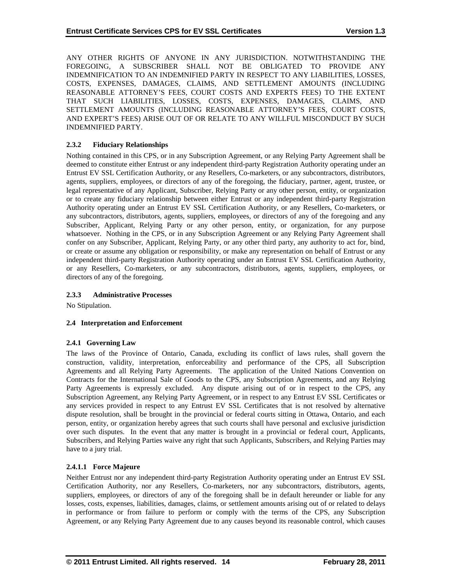ANY OTHER RIGHTS OF ANYONE IN ANY JURISDICTION. NOTWITHSTANDING THE FOREGOING, A SUBSCRIBER SHALL NOT BE OBLIGATED TO PROVIDE ANY INDEMNIFICATION TO AN INDEMNIFIED PARTY IN RESPECT TO ANY LIABILITIES, LOSSES, COSTS, EXPENSES, DAMAGES, CLAIMS, AND SETTLEMENT AMOUNTS (INCLUDING REASONABLE ATTORNEY'S FEES, COURT COSTS AND EXPERTS FEES) TO THE EXTENT THAT SUCH LIABILITIES, LOSSES, COSTS, EXPENSES, DAMAGES, CLAIMS, AND SETTLEMENT AMOUNTS (INCLUDING REASONABLE ATTORNEY'S FEES, COURT COSTS, AND EXPERT'S FEES) ARISE OUT OF OR RELATE TO ANY WILLFUL MISCONDUCT BY SUCH INDEMNIFIED PARTY.

## **2.3.2 Fiduciary Relationships**

Nothing contained in this CPS, or in any Subscription Agreement, or any Relying Party Agreement shall be deemed to constitute either Entrust or any independent third-party Registration Authority operating under an Entrust EV SSL Certification Authority, or any Resellers, Co-marketers, or any subcontractors, distributors, agents, suppliers, employees, or directors of any of the foregoing, the fiduciary, partner, agent, trustee, or legal representative of any Applicant, Subscriber, Relying Party or any other person, entity, or organization or to create any fiduciary relationship between either Entrust or any independent third-party Registration Authority operating under an Entrust EV SSL Certification Authority, or any Resellers, Co-marketers, or any subcontractors, distributors, agents, suppliers, employees, or directors of any of the foregoing and any Subscriber, Applicant, Relying Party or any other person, entity, or organization, for any purpose whatsoever. Nothing in the CPS, or in any Subscription Agreement or any Relying Party Agreement shall confer on any Subscriber, Applicant, Relying Party, or any other third party, any authority to act for, bind, or create or assume any obligation or responsibility, or make any representation on behalf of Entrust or any independent third-party Registration Authority operating under an Entrust EV SSL Certification Authority, or any Resellers, Co-marketers, or any subcontractors, distributors, agents, suppliers, employees, or directors of any of the foregoing.

### **2.3.3 Administrative Processes**

No Stipulation.

#### **2.4 Interpretation and Enforcement**

#### **2.4.1 Governing Law**

The laws of the Province of Ontario, Canada, excluding its conflict of laws rules, shall govern the construction, validity, interpretation, enforceability and performance of the CPS, all Subscription Agreements and all Relying Party Agreements. The application of the United Nations Convention on Contracts for the International Sale of Goods to the CPS, any Subscription Agreements, and any Relying Party Agreements is expressly excluded. Any dispute arising out of or in respect to the CPS, any Subscription Agreement, any Relying Party Agreement, or in respect to any Entrust EV SSL Certificates or any services provided in respect to any Entrust EV SSL Certificates that is not resolved by alternative dispute resolution, shall be brought in the provincial or federal courts sitting in Ottawa, Ontario, and each person, entity, or organization hereby agrees that such courts shall have personal and exclusive jurisdiction over such disputes. In the event that any matter is brought in a provincial or federal court, Applicants, Subscribers, and Relying Parties waive any right that such Applicants, Subscribers, and Relying Parties may have to a jury trial.

# **2.4.1.1 Force Majeure**

Neither Entrust nor any independent third-party Registration Authority operating under an Entrust EV SSL Certification Authority, nor any Resellers, Co-marketers, nor any subcontractors, distributors, agents, suppliers, employees, or directors of any of the foregoing shall be in default hereunder or liable for any losses, costs, expenses, liabilities, damages, claims, or settlement amounts arising out of or related to delays in performance or from failure to perform or comply with the terms of the CPS, any Subscription Agreement, or any Relying Party Agreement due to any causes beyond its reasonable control, which causes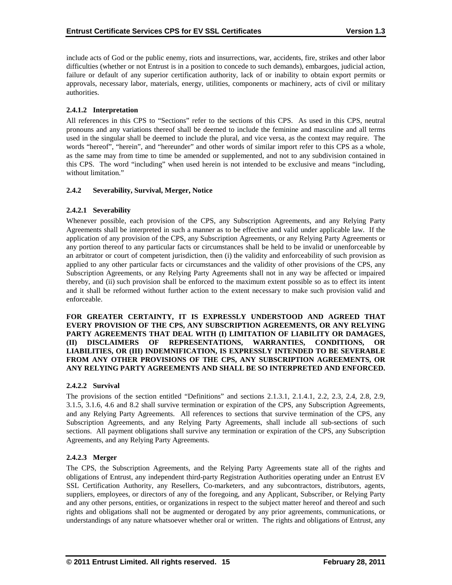include acts of God or the public enemy, riots and insurrections, war, accidents, fire, strikes and other labor difficulties (whether or not Entrust is in a position to concede to such demands), embargoes, judicial action, failure or default of any superior certification authority, lack of or inability to obtain export permits or approvals, necessary labor, materials, energy, utilities, components or machinery, acts of civil or military authorities.

# **2.4.1.2 Interpretation**

All references in this CPS to "Sections" refer to the sections of this CPS. As used in this CPS, neutral pronouns and any variations thereof shall be deemed to include the feminine and masculine and all terms used in the singular shall be deemed to include the plural, and vice versa, as the context may require. The words "hereof", "herein", and "hereunder" and other words of similar import refer to this CPS as a whole, as the same may from time to time be amended or supplemented, and not to any subdivision contained in this CPS. The word "including" when used herein is not intended to be exclusive and means "including, without limitation."

## **2.4.2 Severability, Survival, Merger, Notice**

## **2.4.2.1 Severability**

Whenever possible, each provision of the CPS, any Subscription Agreements, and any Relying Party Agreements shall be interpreted in such a manner as to be effective and valid under applicable law. If the application of any provision of the CPS, any Subscription Agreements, or any Relying Party Agreements or any portion thereof to any particular facts or circumstances shall be held to be invalid or unenforceable by an arbitrator or court of competent jurisdiction, then (i) the validity and enforceability of such provision as applied to any other particular facts or circumstances and the validity of other provisions of the CPS, any Subscription Agreements, or any Relying Party Agreements shall not in any way be affected or impaired thereby, and (ii) such provision shall be enforced to the maximum extent possible so as to effect its intent and it shall be reformed without further action to the extent necessary to make such provision valid and enforceable.

**FOR GREATER CERTAINTY, IT IS EXPRESSLY UNDERSTOOD AND AGREED THAT EVERY PROVISION OF THE CPS, ANY SUBSCRIPTION AGREEMENTS, OR ANY RELYING PARTY AGREEMENTS THAT DEAL WITH (I) LIMITATION OF LIABILITY OR DAMAGES, (II) DISCLAIMERS OF REPRESENTATIONS, WARRANTIES, CONDITIONS, OR LIABILITIES, OR (III) INDEMNIFICATION, IS EXPRESSLY INTENDED TO BE SEVERABLE FROM ANY OTHER PROVISIONS OF THE CPS, ANY SUBSCRIPTION AGREEMENTS, OR ANY RELYING PARTY AGREEMENTS AND SHALL BE SO INTERPRETED AND ENFORCED.**

# **2.4.2.2 Survival**

The provisions of the section entitled "Definitions" and sections 2.1.3.1, 2.1.4.1, 2.2, 2.3, 2.4, 2.8, 2.9, 3.1.5, 3.1.6, 4.6 and 8.2 shall survive termination or expiration of the CPS, any Subscription Agreements, and any Relying Party Agreements. All references to sections that survive termination of the CPS, any Subscription Agreements, and any Relying Party Agreements, shall include all sub-sections of such sections. All payment obligations shall survive any termination or expiration of the CPS, any Subscription Agreements, and any Relying Party Agreements.

# **2.4.2.3 Merger**

The CPS, the Subscription Agreements, and the Relying Party Agreements state all of the rights and obligations of Entrust, any independent third-party Registration Authorities operating under an Entrust EV SSL Certification Authority, any Resellers, Co-marketers, and any subcontractors, distributors, agents, suppliers, employees, or directors of any of the foregoing, and any Applicant, Subscriber, or Relying Party and any other persons, entities, or organizations in respect to the subject matter hereof and thereof and such rights and obligations shall not be augmented or derogated by any prior agreements, communications, or understandings of any nature whatsoever whether oral or written. The rights and obligations of Entrust, any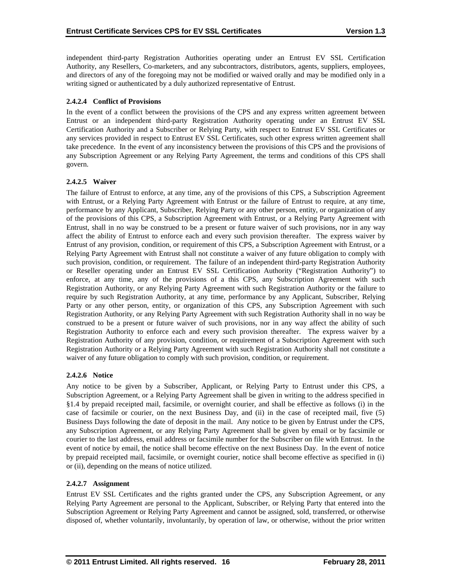independent third-party Registration Authorities operating under an Entrust EV SSL Certification Authority, any Resellers, Co-marketers, and any subcontractors, distributors, agents, suppliers, employees, and directors of any of the foregoing may not be modified or waived orally and may be modified only in a writing signed or authenticated by a duly authorized representative of Entrust.

# **2.4.2.4 Conflict of Provisions**

In the event of a conflict between the provisions of the CPS and any express written agreement between Entrust or an independent third-party Registration Authority operating under an Entrust EV SSL Certification Authority and a Subscriber or Relying Party, with respect to Entrust EV SSL Certificates or any services provided in respect to Entrust EV SSL Certificates, such other express written agreement shall take precedence. In the event of any inconsistency between the provisions of this CPS and the provisions of any Subscription Agreement or any Relying Party Agreement, the terms and conditions of this CPS shall govern.

## **2.4.2.5 Waiver**

The failure of Entrust to enforce, at any time, any of the provisions of this CPS, a Subscription Agreement with Entrust, or a Relying Party Agreement with Entrust or the failure of Entrust to require, at any time, performance by any Applicant, Subscriber, Relying Party or any other person, entity, or organization of any of the provisions of this CPS, a Subscription Agreement with Entrust, or a Relying Party Agreement with Entrust, shall in no way be construed to be a present or future waiver of such provisions, nor in any way affect the ability of Entrust to enforce each and every such provision thereafter. The express waiver by Entrust of any provision, condition, or requirement of this CPS, a Subscription Agreement with Entrust, or a Relying Party Agreement with Entrust shall not constitute a waiver of any future obligation to comply with such provision, condition, or requirement. The failure of an independent third-party Registration Authority or Reseller operating under an Entrust EV SSL Certification Authority ("Registration Authority") to enforce, at any time, any of the provisions of a this CPS, any Subscription Agreement with such Registration Authority, or any Relying Party Agreement with such Registration Authority or the failure to require by such Registration Authority, at any time, performance by any Applicant, Subscriber, Relying Party or any other person, entity, or organization of this CPS, any Subscription Agreement with such Registration Authority, or any Relying Party Agreement with such Registration Authority shall in no way be construed to be a present or future waiver of such provisions, nor in any way affect the ability of such Registration Authority to enforce each and every such provision thereafter. The express waiver by a Registration Authority of any provision, condition, or requirement of a Subscription Agreement with such Registration Authority or a Relying Party Agreement with such Registration Authority shall not constitute a waiver of any future obligation to comply with such provision, condition, or requirement.

#### **2.4.2.6 Notice**

Any notice to be given by a Subscriber, Applicant, or Relying Party to Entrust under this CPS, a Subscription Agreement, or a Relying Party Agreement shall be given in writing to the address specified in §1.4 by prepaid receipted mail, facsimile, or overnight courier, and shall be effective as follows (i) in the case of facsimile or courier, on the next Business Day, and (ii) in the case of receipted mail, five (5) Business Days following the date of deposit in the mail. Any notice to be given by Entrust under the CPS, any Subscription Agreement, or any Relying Party Agreement shall be given by email or by facsimile or courier to the last address, email address or facsimile number for the Subscriber on file with Entrust. In the event of notice by email, the notice shall become effective on the next Business Day. In the event of notice by prepaid receipted mail, facsimile, or overnight courier, notice shall become effective as specified in (i) or (ii), depending on the means of notice utilized.

#### **2.4.2.7 Assignment**

Entrust EV SSL Certificates and the rights granted under the CPS, any Subscription Agreement, or any Relying Party Agreement are personal to the Applicant, Subscriber, or Relying Party that entered into the Subscription Agreement or Relying Party Agreement and cannot be assigned, sold, transferred, or otherwise disposed of, whether voluntarily, involuntarily, by operation of law, or otherwise, without the prior written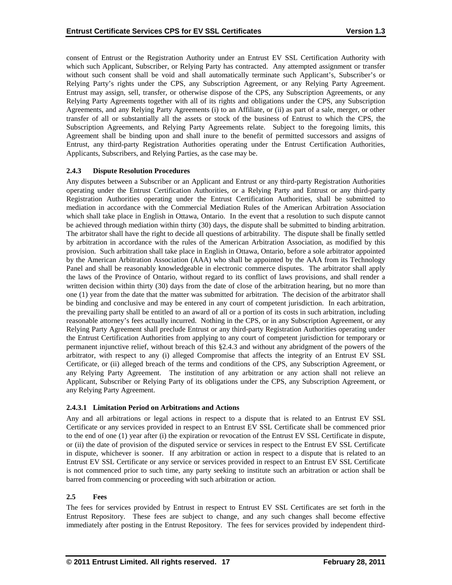consent of Entrust or the Registration Authority under an Entrust EV SSL Certification Authority with which such Applicant, Subscriber, or Relying Party has contracted. Any attempted assignment or transfer without such consent shall be void and shall automatically terminate such Applicant's, Subscriber's or Relying Party's rights under the CPS, any Subscription Agreement, or any Relying Party Agreement. Entrust may assign, sell, transfer, or otherwise dispose of the CPS, any Subscription Agreements, or any Relying Party Agreements together with all of its rights and obligations under the CPS, any Subscription Agreements, and any Relying Party Agreements (i) to an Affiliate, or (ii) as part of a sale, merger, or other transfer of all or substantially all the assets or stock of the business of Entrust to which the CPS, the Subscription Agreements, and Relying Party Agreements relate. Subject to the foregoing limits, this Agreement shall be binding upon and shall inure to the benefit of permitted successors and assigns of Entrust, any third-party Registration Authorities operating under the Entrust Certification Authorities, Applicants, Subscribers, and Relying Parties, as the case may be.

# **2.4.3 Dispute Resolution Procedures**

Any disputes between a Subscriber or an Applicant and Entrust or any third-party Registration Authorities operating under the Entrust Certification Authorities, or a Relying Party and Entrust or any third-party Registration Authorities operating under the Entrust Certification Authorities, shall be submitted to mediation in accordance with the Commercial Mediation Rules of the American Arbitration Association which shall take place in English in Ottawa, Ontario. In the event that a resolution to such dispute cannot be achieved through mediation within thirty (30) days, the dispute shall be submitted to binding arbitration. The arbitrator shall have the right to decide all questions of arbitrability. The dispute shall be finally settled by arbitration in accordance with the rules of the American Arbitration Association, as modified by this provision. Such arbitration shall take place in English in Ottawa, Ontario, before a sole arbitrator appointed by the American Arbitration Association (AAA) who shall be appointed by the AAA from its Technology Panel and shall be reasonably knowledgeable in electronic commerce disputes. The arbitrator shall apply the laws of the Province of Ontario, without regard to its conflict of laws provisions, and shall render a written decision within thirty (30) days from the date of close of the arbitration hearing, but no more than one (1) year from the date that the matter was submitted for arbitration. The decision of the arbitrator shall be binding and conclusive and may be entered in any court of competent jurisdiction. In each arbitration, the prevailing party shall be entitled to an award of all or a portion of its costs in such arbitration, including reasonable attorney's fees actually incurred. Nothing in the CPS, or in any Subscription Agreement, or any Relying Party Agreement shall preclude Entrust or any third-party Registration Authorities operating under the Entrust Certification Authorities from applying to any court of competent jurisdiction for temporary or permanent injunctive relief, without breach of this §2.4.3 and without any abridgment of the powers of the arbitrator, with respect to any (i) alleged Compromise that affects the integrity of an Entrust EV SSL Certificate, or (ii) alleged breach of the terms and conditions of the CPS, any Subscription Agreement, or any Relying Party Agreement. The institution of any arbitration or any action shall not relieve an Applicant, Subscriber or Relying Party of its obligations under the CPS, any Subscription Agreement, or any Relying Party Agreement.

#### **2.4.3.1 Limitation Period on Arbitrations and Actions**

Any and all arbitrations or legal actions in respect to a dispute that is related to an Entrust EV SSL Certificate or any services provided in respect to an Entrust EV SSL Certificate shall be commenced prior to the end of one (1) year after (i) the expiration or revocation of the Entrust EV SSL Certificate in dispute, or (ii) the date of provision of the disputed service or services in respect to the Entrust EV SSL Certificate in dispute, whichever is sooner. If any arbitration or action in respect to a dispute that is related to an Entrust EV SSL Certificate or any service or services provided in respect to an Entrust EV SSL Certificate is not commenced prior to such time, any party seeking to institute such an arbitration or action shall be barred from commencing or proceeding with such arbitration or action.

#### **2.5 Fees**

The fees for services provided by Entrust in respect to Entrust EV SSL Certificates are set forth in the Entrust Repository. These fees are subject to change, and any such changes shall become effective immediately after posting in the Entrust Repository. The fees for services provided by independent third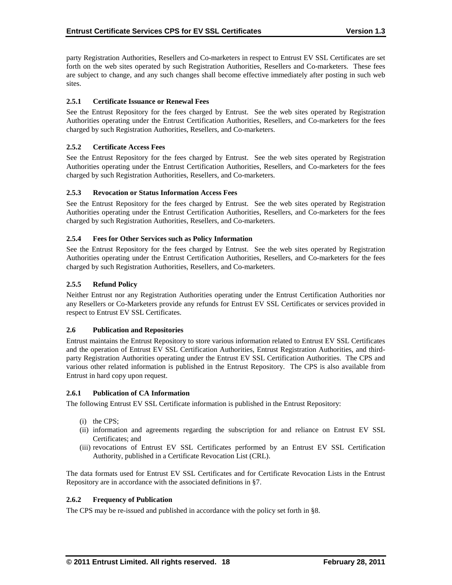party Registration Authorities, Resellers and Co-marketers in respect to Entrust EV SSL Certificates are set forth on the web sites operated by such Registration Authorities, Resellers and Co-marketers. These fees are subject to change, and any such changes shall become effective immediately after posting in such web sites.

## **2.5.1 Certificate Issuance or Renewal Fees**

See the Entrust Repository for the fees charged by Entrust. See the web sites operated by Registration Authorities operating under the Entrust Certification Authorities, Resellers, and Co-marketers for the fees charged by such Registration Authorities, Resellers, and Co-marketers.

#### **2.5.2 Certificate Access Fees**

See the Entrust Repository for the fees charged by Entrust. See the web sites operated by Registration Authorities operating under the Entrust Certification Authorities, Resellers, and Co-marketers for the fees charged by such Registration Authorities, Resellers, and Co-marketers.

#### **2.5.3 Revocation or Status Information Access Fees**

See the Entrust Repository for the fees charged by Entrust. See the web sites operated by Registration Authorities operating under the Entrust Certification Authorities, Resellers, and Co-marketers for the fees charged by such Registration Authorities, Resellers, and Co-marketers.

#### **2.5.4 Fees for Other Services such as Policy Information**

See the Entrust Repository for the fees charged by Entrust. See the web sites operated by Registration Authorities operating under the Entrust Certification Authorities, Resellers, and Co-marketers for the fees charged by such Registration Authorities, Resellers, and Co-marketers.

#### **2.5.5 Refund Policy**

Neither Entrust nor any Registration Authorities operating under the Entrust Certification Authorities nor any Resellers or Co-Marketers provide any refunds for Entrust EV SSL Certificates or services provided in respect to Entrust EV SSL Certificates.

#### **2.6 Publication and Repositories**

Entrust maintains the Entrust Repository to store various information related to Entrust EV SSL Certificates and the operation of Entrust EV SSL Certification Authorities, Entrust Registration Authorities, and thirdparty Registration Authorities operating under the Entrust EV SSL Certification Authorities. The CPS and various other related information is published in the Entrust Repository. The CPS is also available from Entrust in hard copy upon request.

#### **2.6.1 Publication of CA Information**

The following Entrust EV SSL Certificate information is published in the Entrust Repository:

- (i) the CPS;
- (ii) information and agreements regarding the subscription for and reliance on Entrust EV SSL Certificates; and
- (iii) revocations of Entrust EV SSL Certificates performed by an Entrust EV SSL Certification Authority, published in a Certificate Revocation List (CRL).

The data formats used for Entrust EV SSL Certificates and for Certificate Revocation Lists in the Entrust Repository are in accordance with the associated definitions in §7.

#### **2.6.2 Frequency of Publication**

The CPS may be re-issued and published in accordance with the policy set forth in §8.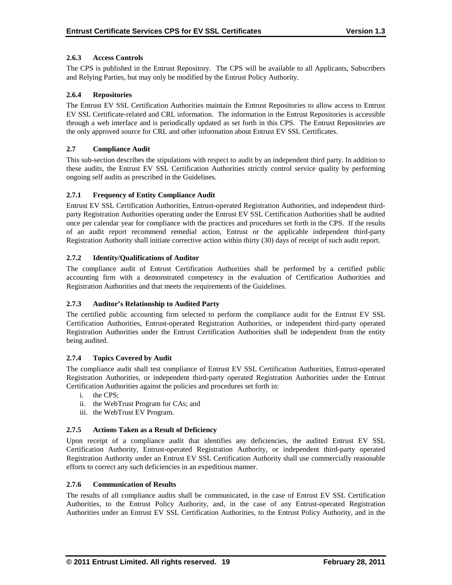## **2.6.3 Access Controls**

The CPS is published in the Entrust Repository. The CPS will be available to all Applicants, Subscribers and Relying Parties, but may only be modified by the Entrust Policy Authority.

## **2.6.4 Repositories**

The Entrust EV SSL Certification Authorities maintain the Entrust Repositories to allow access to Entrust EV SSL Certificate-related and CRL information. The information in the Entrust Repositories is accessible through a web interface and is periodically updated as set forth in this CPS. The Entrust Repositories are the only approved source for CRL and other information about Entrust EV SSL Certificates.

## **2.7 Compliance Audit**

This sub-section describes the stipulations with respect to audit by an independent third party. In addition to these audits, the Entrust EV SSL Certification Authorities strictly control service quality by performing ongoing self audits as prescribed in the Guidelines.

## **2.7.1 Frequency of Entity Compliance Audit**

Entrust EV SSL Certification Authorities, Entrust-operated Registration Authorities, and independent thirdparty Registration Authorities operating under the Entrust EV SSL Certification Authorities shall be audited once per calendar year for compliance with the practices and procedures set forth in the CPS. If the results of an audit report recommend remedial action, Entrust or the applicable independent third-party Registration Authority shall initiate corrective action within thirty (30) days of receipt of such audit report.

## **2.7.2 Identity/Qualifications of Auditor**

The compliance audit of Entrust Certification Authorities shall be performed by a certified public accounting firm with a demonstrated competency in the evaluation of Certification Authorities and Registration Authorities and that meets the requirements of the Guidelines.

# **2.7.3 Auditor's Relationship to Audited Party**

The certified public accounting firm selected to perform the compliance audit for the Entrust EV SSL Certification Authorities, Entrust-operated Registration Authorities, or independent third-party operated Registration Authorities under the Entrust Certification Authorities shall be independent from the entity being audited.

#### **2.7.4 Topics Covered by Audit**

The compliance audit shall test compliance of Entrust EV SSL Certification Authorities, Entrust-operated Registration Authorities, or independent third-party operated Registration Authorities under the Entrust Certification Authorities against the policies and procedures set forth in:

- i. the CPS;
- ii. the WebTrust Program for CAs; and
- iii. the WebTrust EV Program.

#### **2.7.5 Actions Taken as a Result of Deficiency**

Upon receipt of a compliance audit that identifies any deficiencies, the audited Entrust EV SSL Certification Authority, Entrust-operated Registration Authority, or independent third-party operated Registration Authority under an Entrust EV SSL Certification Authority shall use commercially reasonable efforts to correct any such deficiencies in an expeditious manner.

#### **2.7.6 Communication of Results**

The results of all compliance audits shall be communicated, in the case of Entrust EV SSL Certification Authorities, to the Entrust Policy Authority, and, in the case of any Entrust-operated Registration Authorities under an Entrust EV SSL Certification Authorities, to the Entrust Policy Authority, and in the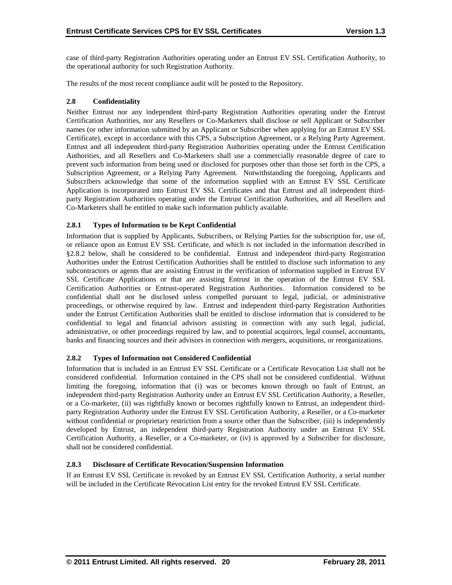case of third-party Registration Authorities operating under an Entrust EV SSL Certification Authority, to the operational authority for such Registration Authority.

The results of the most recent compliance audit will be posted to the Repository.

## **2.8 Confidentiality**

Neither Entrust nor any independent third-party Registration Authorities operating under the Entrust Certification Authorities, nor any Resellers or Co-Marketers shall disclose or sell Applicant or Subscriber names (or other information submitted by an Applicant or Subscriber when applying for an Entrust EV SSL Certificate), except in accordance with this CPS, a Subscription Agreement, or a Relying Party Agreement. Entrust and all independent third-party Registration Authorities operating under the Entrust Certification Authorities, and all Resellers and Co-Marketers shall use a commercially reasonable degree of care to prevent such information from being used or disclosed for purposes other than those set forth in the CPS, a Subscription Agreement, or a Relying Party Agreement. Notwithstanding the foregoing, Applicants and Subscribers acknowledge that some of the information supplied with an Entrust EV SSL Certificate Application is incorporated into Entrust EV SSL Certificates and that Entrust and all independent thirdparty Registration Authorities operating under the Entrust Certification Authorities, and all Resellers and Co-Marketers shall be entitled to make such information publicly available.

# **2.8.1 Types of Information to be Kept Confidential**

Information that is supplied by Applicants, Subscribers, or Relying Parties for the subscription for, use of, or reliance upon an Entrust EV SSL Certificate, and which is not included in the information described in §2.8.2 below, shall be considered to be confidential. Entrust and independent third-party Registration Authorities under the Entrust Certification Authorities shall be entitled to disclose such information to any subcontractors or agents that are assisting Entrust in the verification of information supplied in Entrust EV SSL Certificate Applications or that are assisting Entrust in the operation of the Entrust EV SSL Certification Authorities or Entrust-operated Registration Authorities. Information considered to be confidential shall not be disclosed unless compelled pursuant to legal, judicial, or administrative proceedings, or otherwise required by law. Entrust and independent third-party Registration Authorities under the Entrust Certification Authorities shall be entitled to disclose information that is considered to be confidential to legal and financial advisors assisting in connection with any such legal, judicial, administrative, or other proceedings required by law, and to potential acquirors, legal counsel, accountants, banks and financing sources and their advisors in connection with mergers, acquisitions, or reorganizations.

# **2.8.2 Types of Information not Considered Confidential**

Information that is included in an Entrust EV SSL Certificate or a Certificate Revocation List shall not be considered confidential. Information contained in the CPS shall not be considered confidential. Without limiting the foregoing, information that (i) was or becomes known through no fault of Entrust, an independent third-party Registration Authority under an Entrust EV SSL Certification Authority, a Reseller, or a Co-marketer, (ii) was rightfully known or becomes rightfully known to Entrust, an independent thirdparty Registration Authority under the Entrust EV SSL Certification Authority, a Reseller, or a Co-marketer without confidential or proprietary restriction from a source other than the Subscriber, (iii) is independently developed by Entrust, an independent third-party Registration Authority under an Entrust EV SSL Certification Authority, a Reseller, or a Co-marketer, or (iv) is approved by a Subscriber for disclosure, shall not be considered confidential.

#### **2.8.3 Disclosure of Certificate Revocation/Suspension Information**

If an Entrust EV SSL Certificate is revoked by an Entrust EV SSL Certification Authority, a serial number will be included in the Certificate Revocation List entry for the revoked Entrust EV SSL Certificate.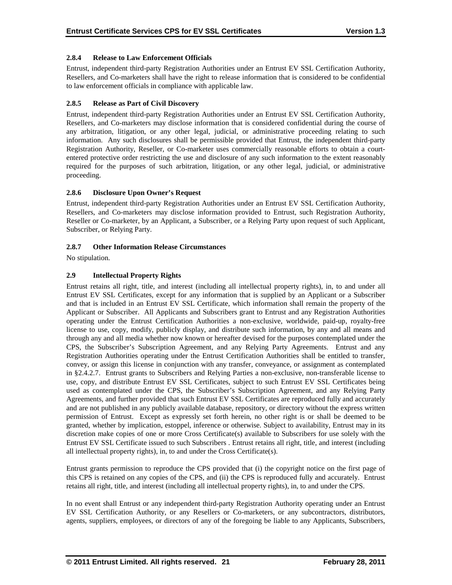## **2.8.4 Release to Law Enforcement Officials**

Entrust, independent third-party Registration Authorities under an Entrust EV SSL Certification Authority, Resellers, and Co-marketers shall have the right to release information that is considered to be confidential to law enforcement officials in compliance with applicable law.

## **2.8.5 Release as Part of Civil Discovery**

Entrust, independent third-party Registration Authorities under an Entrust EV SSL Certification Authority, Resellers, and Co-marketers may disclose information that is considered confidential during the course of any arbitration, litigation, or any other legal, judicial, or administrative proceeding relating to such information. Any such disclosures shall be permissible provided that Entrust, the independent third-party Registration Authority, Reseller, or Co-marketer uses commercially reasonable efforts to obtain a courtentered protective order restricting the use and disclosure of any such information to the extent reasonably required for the purposes of such arbitration, litigation, or any other legal, judicial, or administrative proceeding.

## **2.8.6 Disclosure Upon Owner's Request**

Entrust, independent third-party Registration Authorities under an Entrust EV SSL Certification Authority, Resellers, and Co-marketers may disclose information provided to Entrust, such Registration Authority, Reseller or Co-marketer, by an Applicant, a Subscriber, or a Relying Party upon request of such Applicant, Subscriber, or Relying Party.

## **2.8.7 Other Information Release Circumstances**

No stipulation.

## **2.9 Intellectual Property Rights**

Entrust retains all right, title, and interest (including all intellectual property rights), in, to and under all Entrust EV SSL Certificates, except for any information that is supplied by an Applicant or a Subscriber and that is included in an Entrust EV SSL Certificate, which information shall remain the property of the Applicant or Subscriber. All Applicants and Subscribers grant to Entrust and any Registration Authorities operating under the Entrust Certification Authorities a non-exclusive, worldwide, paid-up, royalty-free license to use, copy, modify, publicly display, and distribute such information, by any and all means and through any and all media whether now known or hereafter devised for the purposes contemplated under the CPS, the Subscriber's Subscription Agreement, and any Relying Party Agreements. Entrust and any Registration Authorities operating under the Entrust Certification Authorities shall be entitled to transfer, convey, or assign this license in conjunction with any transfer, conveyance, or assignment as contemplated in §2.4.2.7. Entrust grants to Subscribers and Relying Parties a non-exclusive, non-transferable license to use, copy, and distribute Entrust EV SSL Certificates, subject to such Entrust EV SSL Certificates being used as contemplated under the CPS, the Subscriber's Subscription Agreement, and any Relying Party Agreements, and further provided that such Entrust EV SSL Certificates are reproduced fully and accurately and are not published in any publicly available database, repository, or directory without the express written permission of Entrust. Except as expressly set forth herein, no other right is or shall be deemed to be granted, whether by implication, estoppel, inference or otherwise. Subject to availability, Entrust may in its discretion make copies of one or more Cross Certificate(s) available to Subscribers for use solely with the Entrust EV SSL Certificate issued to such Subscribers . Entrust retains all right, title, and interest (including all intellectual property rights), in, to and under the Cross Certificate(s).

Entrust grants permission to reproduce the CPS provided that (i) the copyright notice on the first page of this CPS is retained on any copies of the CPS, and (ii) the CPS is reproduced fully and accurately. Entrust retains all right, title, and interest (including all intellectual property rights), in, to and under the CPS.

In no event shall Entrust or any independent third-party Registration Authority operating under an Entrust EV SSL Certification Authority, or any Resellers or Co-marketers, or any subcontractors, distributors, agents, suppliers, employees, or directors of any of the foregoing be liable to any Applicants, Subscribers,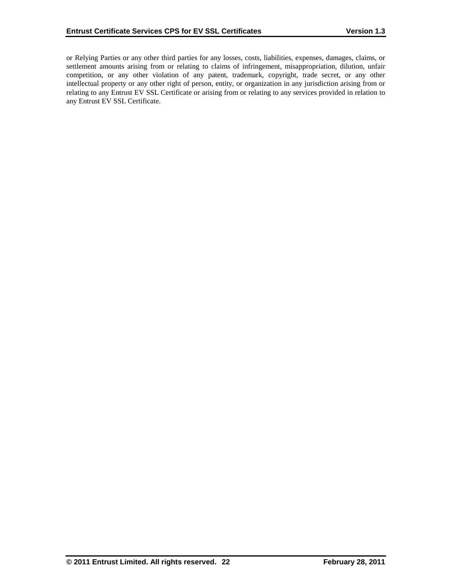or Relying Parties or any other third parties for any losses, costs, liabilities, expenses, damages, claims, or settlement amounts arising from or relating to claims of infringement, misappropriation, dilution, unfair competition, or any other violation of any patent, trademark, copyright, trade secret, or any other intellectual property or any other right of person, entity, or organization in any jurisdiction arising from or relating to any Entrust EV SSL Certificate or arising from or relating to any services provided in relation to any Entrust EV SSL Certificate.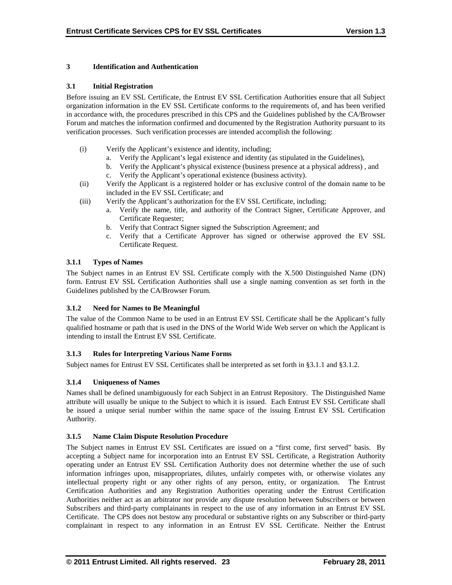## **3 Identification and Authentication**

### **3.1 Initial Registration**

Before issuing an EV SSL Certificate, the Entrust EV SSL Certification Authorities ensure that all Subject organization information in the EV SSL Certificate conforms to the requirements of, and has been verified in accordance with, the procedures prescribed in this CPS and the Guidelines published by the CA/Browser Forum and matches the information confirmed and documented by the Registration Authority pursuant to its verification processes. Such verification processes are intended accomplish the following:

- (i) Verify the Applicant's existence and identity, including;
	- a. Verify the Applicant's legal existence and identity (as stipulated in the Guidelines),
	- b. Verify the Applicant's physical existence (business presence at a physical address) , and
	- c. Verify the Applicant's operational existence (business activity).
- (ii) Verify the Applicant is a registered holder or has exclusive control of the domain name to be included in the EV SSL Certificate; and
- (iii) Verify the Applicant's authorization for the EV SSL Certificate, including;
	- a. Verify the name, title, and authority of the Contract Signer, Certificate Approver, and Certificate Requester;
	- b. Verify that Contract Signer signed the Subscription Agreement; and
	- c. Verify that a Certificate Approver has signed or otherwise approved the EV SSL Certificate Request.

# **3.1.1 Types of Names**

The Subject names in an Entrust EV SSL Certificate comply with the X.500 Distinguished Name (DN) form. Entrust EV SSL Certification Authorities shall use a single naming convention as set forth in the Guidelines published by the CA/Browser Forum.

# **3.1.2 Need for Names to Be Meaningful**

The value of the Common Name to be used in an Entrust EV SSL Certificate shall be the Applicant's fully qualified hostname or path that is used in the DNS of the World Wide Web server on which the Applicant is intending to install the Entrust EV SSL Certificate.

# **3.1.3 Rules for Interpreting Various Name Forms**

Subject names for Entrust EV SSL Certificates shall be interpreted as set forth in §3.1.1 and §3.1.2.

#### **3.1.4 Uniqueness of Names**

Names shall be defined unambiguously for each Subject in an Entrust Repository. The Distinguished Name attribute will usually be unique to the Subject to which it is issued. Each Entrust EV SSL Certificate shall be issued a unique serial number within the name space of the issuing Entrust EV SSL Certification Authority.

# **3.1.5 Name Claim Dispute Resolution Procedure**

The Subject names in Entrust EV SSL Certificates are issued on a "first come, first served" basis. By accepting a Subject name for incorporation into an Entrust EV SSL Certificate, a Registration Authority operating under an Entrust EV SSL Certification Authority does not determine whether the use of such information infringes upon, misappropriates, dilutes, unfairly competes with, or otherwise violates any intellectual property right or any other rights of any person, entity, or organization. The Entrust Certification Authorities and any Registration Authorities operating under the Entrust Certification Authorities neither act as an arbitrator nor provide any dispute resolution between Subscribers or between Subscribers and third-party complainants in respect to the use of any information in an Entrust EV SSL Certificate. The CPS does not bestow any procedural or substantive rights on any Subscriber or third-party complainant in respect to any information in an Entrust EV SSL Certificate. Neither the Entrust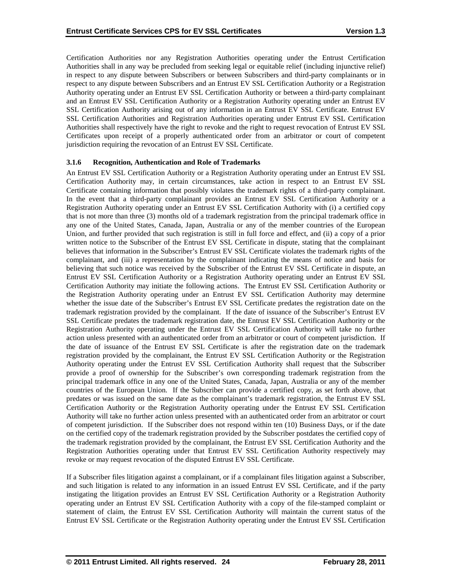Certification Authorities nor any Registration Authorities operating under the Entrust Certification Authorities shall in any way be precluded from seeking legal or equitable relief (including injunctive relief) in respect to any dispute between Subscribers or between Subscribers and third-party complainants or in respect to any dispute between Subscribers and an Entrust EV SSL Certification Authority or a Registration Authority operating under an Entrust EV SSL Certification Authority or between a third-party complainant and an Entrust EV SSL Certification Authority or a Registration Authority operating under an Entrust EV SSL Certification Authority arising out of any information in an Entrust EV SSL Certificate. Entrust EV SSL Certification Authorities and Registration Authorities operating under Entrust EV SSL Certification Authorities shall respectively have the right to revoke and the right to request revocation of Entrust EV SSL Certificates upon receipt of a properly authenticated order from an arbitrator or court of competent jurisdiction requiring the revocation of an Entrust EV SSL Certificate.

#### **3.1.6 Recognition, Authentication and Role of Trademarks**

An Entrust EV SSL Certification Authority or a Registration Authority operating under an Entrust EV SSL Certification Authority may, in certain circumstances, take action in respect to an Entrust EV SSL Certificate containing information that possibly violates the trademark rights of a third-party complainant. In the event that a third-party complainant provides an Entrust EV SSL Certification Authority or a Registration Authority operating under an Entrust EV SSL Certification Authority with (i) a certified copy that is not more than three (3) months old of a trademark registration from the principal trademark office in any one of the United States, Canada, Japan, Australia or any of the member countries of the European Union, and further provided that such registration is still in full force and effect, and (ii) a copy of a prior written notice to the Subscriber of the Entrust EV SSL Certificate in dispute, stating that the complainant believes that information in the Subscriber's Entrust EV SSL Certificate violates the trademark rights of the complainant, and (iii) a representation by the complainant indicating the means of notice and basis for believing that such notice was received by the Subscriber of the Entrust EV SSL Certificate in dispute, an Entrust EV SSL Certification Authority or a Registration Authority operating under an Entrust EV SSL Certification Authority may initiate the following actions. The Entrust EV SSL Certification Authority or the Registration Authority operating under an Entrust EV SSL Certification Authority may determine whether the issue date of the Subscriber's Entrust EV SSL Certificate predates the registration date on the trademark registration provided by the complainant. If the date of issuance of the Subscriber's Entrust EV SSL Certificate predates the trademark registration date, the Entrust EV SSL Certification Authority or the Registration Authority operating under the Entrust EV SSL Certification Authority will take no further action unless presented with an authenticated order from an arbitrator or court of competent jurisdiction. If the date of issuance of the Entrust EV SSL Certificate is after the registration date on the trademark registration provided by the complainant, the Entrust EV SSL Certification Authority or the Registration Authority operating under the Entrust EV SSL Certification Authority shall request that the Subscriber provide a proof of ownership for the Subscriber's own corresponding trademark registration from the principal trademark office in any one of the United States, Canada, Japan, Australia or any of the member countries of the European Union. If the Subscriber can provide a certified copy, as set forth above, that predates or was issued on the same date as the complainant's trademark registration, the Entrust EV SSL Certification Authority or the Registration Authority operating under the Entrust EV SSL Certification Authority will take no further action unless presented with an authenticated order from an arbitrator or court of competent jurisdiction. If the Subscriber does not respond within ten (10) Business Days, or if the date on the certified copy of the trademark registration provided by the Subscriber postdates the certified copy of the trademark registration provided by the complainant, the Entrust EV SSL Certification Authority and the Registration Authorities operating under that Entrust EV SSL Certification Authority respectively may revoke or may request revocation of the disputed Entrust EV SSL Certificate.

If a Subscriber files litigation against a complainant, or if a complainant files litigation against a Subscriber, and such litigation is related to any information in an issued Entrust EV SSL Certificate, and if the party instigating the litigation provides an Entrust EV SSL Certification Authority or a Registration Authority operating under an Entrust EV SSL Certification Authority with a copy of the file-stamped complaint or statement of claim, the Entrust EV SSL Certification Authority will maintain the current status of the Entrust EV SSL Certificate or the Registration Authority operating under the Entrust EV SSL Certification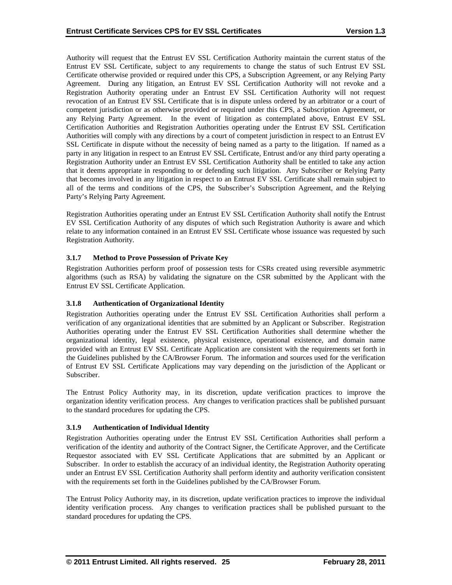Authority will request that the Entrust EV SSL Certification Authority maintain the current status of the Entrust EV SSL Certificate, subject to any requirements to change the status of such Entrust EV SSL Certificate otherwise provided or required under this CPS, a Subscription Agreement, or any Relying Party Agreement. During any litigation, an Entrust EV SSL Certification Authority will not revoke and a Registration Authority operating under an Entrust EV SSL Certification Authority will not request revocation of an Entrust EV SSL Certificate that is in dispute unless ordered by an arbitrator or a court of competent jurisdiction or as otherwise provided or required under this CPS, a Subscription Agreement, or any Relying Party Agreement. In the event of litigation as contemplated above, Entrust EV SSL Certification Authorities and Registration Authorities operating under the Entrust EV SSL Certification Authorities will comply with any directions by a court of competent jurisdiction in respect to an Entrust EV SSL Certificate in dispute without the necessity of being named as a party to the litigation. If named as a party in any litigation in respect to an Entrust EV SSL Certificate, Entrust and/or any third party operating a Registration Authority under an Entrust EV SSL Certification Authority shall be entitled to take any action that it deems appropriate in responding to or defending such litigation. Any Subscriber or Relying Party that becomes involved in any litigation in respect to an Entrust EV SSL Certificate shall remain subject to all of the terms and conditions of the CPS, the Subscriber's Subscription Agreement, and the Relying Party's Relying Party Agreement.

Registration Authorities operating under an Entrust EV SSL Certification Authority shall notify the Entrust EV SSL Certification Authority of any disputes of which such Registration Authority is aware and which relate to any information contained in an Entrust EV SSL Certificate whose issuance was requested by such Registration Authority.

# **3.1.7 Method to Prove Possession of Private Key**

Registration Authorities perform proof of possession tests for CSRs created using reversible asymmetric algorithms (such as RSA) by validating the signature on the CSR submitted by the Applicant with the Entrust EV SSL Certificate Application.

# **3.1.8 Authentication of Organizational Identity**

Registration Authorities operating under the Entrust EV SSL Certification Authorities shall perform a verification of any organizational identities that are submitted by an Applicant or Subscriber. Registration Authorities operating under the Entrust EV SSL Certification Authorities shall determine whether the organizational identity, legal existence, physical existence, operational existence, and domain name provided with an Entrust EV SSL Certificate Application are consistent with the requirements set forth in the Guidelines published by the CA/Browser Forum. The information and sources used for the verification of Entrust EV SSL Certificate Applications may vary depending on the jurisdiction of the Applicant or Subscriber.

The Entrust Policy Authority may, in its discretion, update verification practices to improve the organization identity verification process. Any changes to verification practices shall be published pursuant to the standard procedures for updating the CPS.

# **3.1.9 Authentication of Individual Identity**

Registration Authorities operating under the Entrust EV SSL Certification Authorities shall perform a verification of the identity and authority of the Contract Signer, the Certificate Approver, and the Certificate Requestor associated with EV SSL Certificate Applications that are submitted by an Applicant or Subscriber. In order to establish the accuracy of an individual identity, the Registration Authority operating under an Entrust EV SSL Certification Authority shall perform identity and authority verification consistent with the requirements set forth in the Guidelines published by the CA/Browser Forum.

The Entrust Policy Authority may, in its discretion, update verification practices to improve the individual identity verification process. Any changes to verification practices shall be published pursuant to the standard procedures for updating the CPS.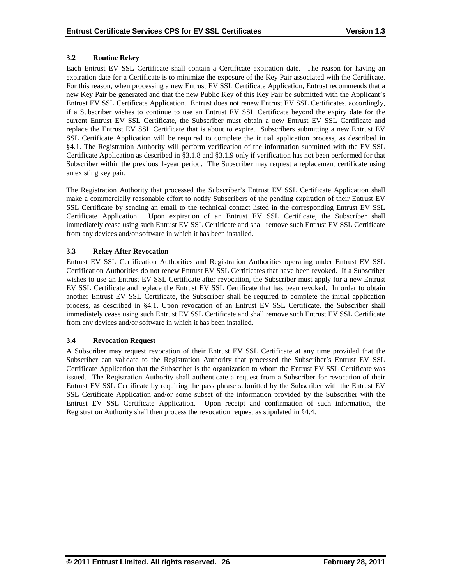# **3.2 Routine Rekey**

Each Entrust EV SSL Certificate shall contain a Certificate expiration date. The reason for having an expiration date for a Certificate is to minimize the exposure of the Key Pair associated with the Certificate. For this reason, when processing a new Entrust EV SSL Certificate Application, Entrust recommends that a new Key Pair be generated and that the new Public Key of this Key Pair be submitted with the Applicant's Entrust EV SSL Certificate Application. Entrust does not renew Entrust EV SSL Certificates, accordingly, if a Subscriber wishes to continue to use an Entrust EV SSL Certificate beyond the expiry date for the current Entrust EV SSL Certificate, the Subscriber must obtain a new Entrust EV SSL Certificate and replace the Entrust EV SSL Certificate that is about to expire. Subscribers submitting a new Entrust EV SSL Certificate Application will be required to complete the initial application process, as described in §4.1. The Registration Authority will perform verification of the information submitted with the EV SSL Certificate Application as described in §3.1.8 and §3.1.9 only if verification has not been performed for that Subscriber within the previous 1-year period. The Subscriber may request a replacement certificate using an existing key pair.

The Registration Authority that processed the Subscriber's Entrust EV SSL Certificate Application shall make a commercially reasonable effort to notify Subscribers of the pending expiration of their Entrust EV SSL Certificate by sending an email to the technical contact listed in the corresponding Entrust EV SSL Certificate Application. Upon expiration of an Entrust EV SSL Certificate, the Subscriber shall immediately cease using such Entrust EV SSL Certificate and shall remove such Entrust EV SSL Certificate from any devices and/or software in which it has been installed.

## **3.3 Rekey After Revocation**

Entrust EV SSL Certification Authorities and Registration Authorities operating under Entrust EV SSL Certification Authorities do not renew Entrust EV SSL Certificates that have been revoked. If a Subscriber wishes to use an Entrust EV SSL Certificate after revocation, the Subscriber must apply for a new Entrust EV SSL Certificate and replace the Entrust EV SSL Certificate that has been revoked. In order to obtain another Entrust EV SSL Certificate, the Subscriber shall be required to complete the initial application process, as described in §4.1. Upon revocation of an Entrust EV SSL Certificate, the Subscriber shall immediately cease using such Entrust EV SSL Certificate and shall remove such Entrust EV SSL Certificate from any devices and/or software in which it has been installed.

#### **3.4 Revocation Request**

A Subscriber may request revocation of their Entrust EV SSL Certificate at any time provided that the Subscriber can validate to the Registration Authority that processed the Subscriber's Entrust EV SSL Certificate Application that the Subscriber is the organization to whom the Entrust EV SSL Certificate was issued. The Registration Authority shall authenticate a request from a Subscriber for revocation of their Entrust EV SSL Certificate by requiring the pass phrase submitted by the Subscriber with the Entrust EV SSL Certificate Application and/or some subset of the information provided by the Subscriber with the Entrust EV SSL Certificate Application. Upon receipt and confirmation of such information, the Registration Authority shall then process the revocation request as stipulated in §4.4.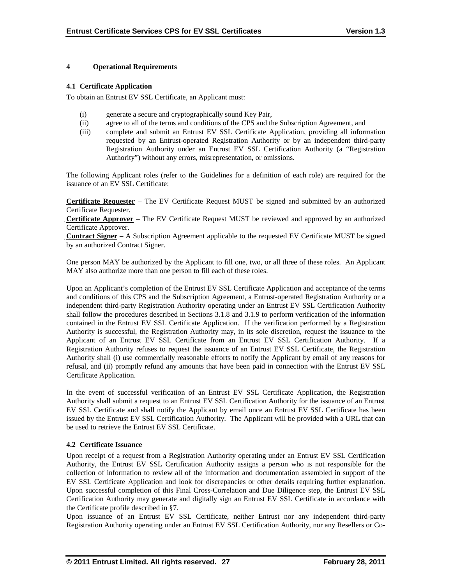## **4 Operational Requirements**

#### **4.1 Certificate Application**

To obtain an Entrust EV SSL Certificate, an Applicant must:

- (i) generate a secure and cryptographically sound Key Pair,
- (ii) agree to all of the terms and conditions of the CPS and the Subscription Agreement, and
- (iii) complete and submit an Entrust EV SSL Certificate Application, providing all information requested by an Entrust-operated Registration Authority or by an independent third-party Registration Authority under an Entrust EV SSL Certification Authority (a "Registration Authority") without any errors, misrepresentation, or omissions.

The following Applicant roles (refer to the Guidelines for a definition of each role) are required for the issuance of an EV SSL Certificate:

**Certificate Requester** – The EV Certificate Request MUST be signed and submitted by an authorized Certificate Requester.

 $\overline{a}$ **Certificate Approver** – The EV Certificate Request MUST be reviewed and approved by an authorized Certificate Approver.

 $\overline{a}$ **Contract Signer** – A Subscription Agreement applicable to the requested EV Certificate MUST be signed by an authorized Contract Signer.

One person MAY be authorized by the Applicant to fill one, two, or all three of these roles. An Applicant MAY also authorize more than one person to fill each of these roles.

Upon an Applicant's completion of the Entrust EV SSL Certificate Application and acceptance of the terms and conditions of this CPS and the Subscription Agreement, a Entrust-operated Registration Authority or a independent third-party Registration Authority operating under an Entrust EV SSL Certification Authority shall follow the procedures described in Sections 3.1.8 and 3.1.9 to perform verification of the information contained in the Entrust EV SSL Certificate Application. If the verification performed by a Registration Authority is successful, the Registration Authority may, in its sole discretion, request the issuance to the Applicant of an Entrust EV SSL Certificate from an Entrust EV SSL Certification Authority. If a Registration Authority refuses to request the issuance of an Entrust EV SSL Certificate, the Registration Authority shall (i) use commercially reasonable efforts to notify the Applicant by email of any reasons for refusal, and (ii) promptly refund any amounts that have been paid in connection with the Entrust EV SSL Certificate Application.

In the event of successful verification of an Entrust EV SSL Certificate Application, the Registration Authority shall submit a request to an Entrust EV SSL Certification Authority for the issuance of an Entrust EV SSL Certificate and shall notify the Applicant by email once an Entrust EV SSL Certificate has been issued by the Entrust EV SSL Certification Authority. The Applicant will be provided with a URL that can be used to retrieve the Entrust EV SSL Certificate.

# **4.2 Certificate Issuance**

Upon receipt of a request from a Registration Authority operating under an Entrust EV SSL Certification Authority, the Entrust EV SSL Certification Authority assigns a person who is not responsible for the collection of information to review all of the information and documentation assembled in support of the EV SSL Certificate Application and look for discrepancies or other details requiring further explanation. Upon successful completion of this Final Cross-Correlation and Due Diligence step, the Entrust EV SSL Certification Authority may generate and digitally sign an Entrust EV SSL Certificate in accordance with the Certificate profile described in §7.

Upon issuance of an Entrust EV SSL Certificate, neither Entrust nor any independent third-party Registration Authority operating under an Entrust EV SSL Certification Authority, nor any Resellers or Co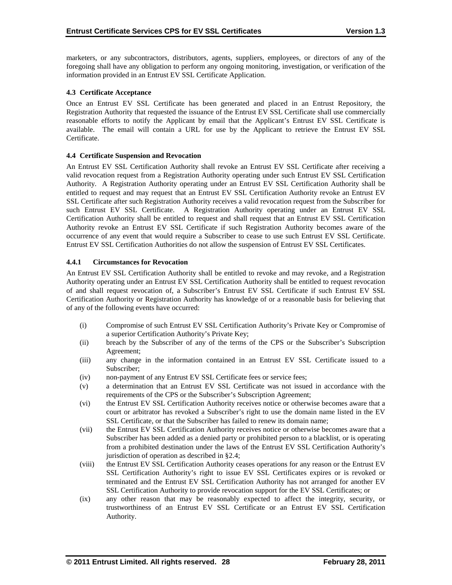marketers, or any subcontractors, distributors, agents, suppliers, employees, or directors of any of the foregoing shall have any obligation to perform any ongoing monitoring, investigation, or verification of the information provided in an Entrust EV SSL Certificate Application.

## **4.3 Certificate Acceptance**

Once an Entrust EV SSL Certificate has been generated and placed in an Entrust Repository, the Registration Authority that requested the issuance of the Entrust EV SSL Certificate shall use commercially reasonable efforts to notify the Applicant by email that the Applicant's Entrust EV SSL Certificate is available. The email will contain a URL for use by the Applicant to retrieve the Entrust EV SSL Certificate.

## **4.4 Certificate Suspension and Revocation**

An Entrust EV SSL Certification Authority shall revoke an Entrust EV SSL Certificate after receiving a valid revocation request from a Registration Authority operating under such Entrust EV SSL Certification Authority. A Registration Authority operating under an Entrust EV SSL Certification Authority shall be entitled to request and may request that an Entrust EV SSL Certification Authority revoke an Entrust EV SSL Certificate after such Registration Authority receives a valid revocation request from the Subscriber for such Entrust EV SSL Certificate. A Registration Authority operating under an Entrust EV SSL Certification Authority shall be entitled to request and shall request that an Entrust EV SSL Certification Authority revoke an Entrust EV SSL Certificate if such Registration Authority becomes aware of the occurrence of any event that would require a Subscriber to cease to use such Entrust EV SSL Certificate. Entrust EV SSL Certification Authorities do not allow the suspension of Entrust EV SSL Certificates.

## **4.4.1 Circumstances for Revocation**

An Entrust EV SSL Certification Authority shall be entitled to revoke and may revoke, and a Registration Authority operating under an Entrust EV SSL Certification Authority shall be entitled to request revocation of and shall request revocation of, a Subscriber's Entrust EV SSL Certificate if such Entrust EV SSL Certification Authority or Registration Authority has knowledge of or a reasonable basis for believing that of any of the following events have occurred:

- (i) Compromise of such Entrust EV SSL Certification Authority's Private Key or Compromise of a superior Certification Authority's Private Key;
- (ii) breach by the Subscriber of any of the terms of the CPS or the Subscriber's Subscription Agreement;
- (iii) any change in the information contained in an Entrust EV SSL Certificate issued to a Subscriber;
- (iv) non-payment of any Entrust EV SSL Certificate fees or service fees;
- (v) a determination that an Entrust EV SSL Certificate was not issued in accordance with the requirements of the CPS or the Subscriber's Subscription Agreement;
- (vi) the Entrust EV SSL Certification Authority receives notice or otherwise becomes aware that a court or arbitrator has revoked a Subscriber's right to use the domain name listed in the EV SSL Certificate, or that the Subscriber has failed to renew its domain name;
- (vii) the Entrust EV SSL Certification Authority receives notice or otherwise becomes aware that a Subscriber has been added as a denied party or prohibited person to a blacklist, or is operating from a prohibited destination under the laws of the Entrust EV SSL Certification Authority's jurisdiction of operation as described in §2.4;
- (viii) the Entrust EV SSL Certification Authority ceases operations for any reason or the Entrust EV SSL Certification Authority's right to issue EV SSL Certificates expires or is revoked or terminated and the Entrust EV SSL Certification Authority has not arranged for another EV SSL Certification Authority to provide revocation support for the EV SSL Certificates; or
- (ix) any other reason that may be reasonably expected to affect the integrity, security, or trustworthiness of an Entrust EV SSL Certificate or an Entrust EV SSL Certification Authority.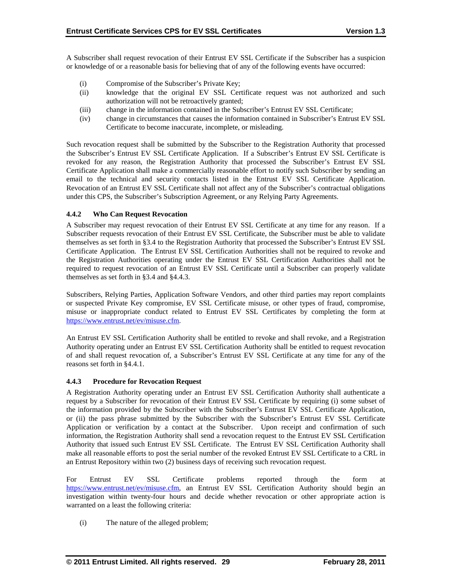A Subscriber shall request revocation of their Entrust EV SSL Certificate if the Subscriber has a suspicion or knowledge of or a reasonable basis for believing that of any of the following events have occurred:

- (i) Compromise of the Subscriber's Private Key;
- (ii) knowledge that the original EV SSL Certificate request was not authorized and such authorization will not be retroactively granted;
- (iii) change in the information contained in the Subscriber's Entrust EV SSL Certificate;
- (iv) change in circumstances that causes the information contained in Subscriber's Entrust EV SSL Certificate to become inaccurate, incomplete, or misleading.

Such revocation request shall be submitted by the Subscriber to the Registration Authority that processed the Subscriber's Entrust EV SSL Certificate Application. If a Subscriber's Entrust EV SSL Certificate is revoked for any reason, the Registration Authority that processed the Subscriber's Entrust EV SSL Certificate Application shall make a commercially reasonable effort to notify such Subscriber by sending an email to the technical and security contacts listed in the Entrust EV SSL Certificate Application. Revocation of an Entrust EV SSL Certificate shall not affect any of the Subscriber's contractual obligations under this CPS, the Subscriber's Subscription Agreement, or any Relying Party Agreements.

## **4.4.2 Who Can Request Revocation**

A Subscriber may request revocation of their Entrust EV SSL Certificate at any time for any reason. If a Subscriber requests revocation of their Entrust EV SSL Certificate, the Subscriber must be able to validate themselves as set forth in §3.4 to the Registration Authority that processed the Subscriber's Entrust EV SSL Certificate Application. The Entrust EV SSL Certification Authorities shall not be required to revoke and the Registration Authorities operating under the Entrust EV SSL Certification Authorities shall not be required to request revocation of an Entrust EV SSL Certificate until a Subscriber can properly validate themselves as set forth in §3.4 and §4.4.3.

Subscribers, Relying Parties, Application Software Vendors, and other third parties may report complaints or suspected Private Key compromise, EV SSL Certificate misuse, or other types of fraud, compromise, misuse or inappropriate conduct related to Entrust EV SSL Certificates by completing the form at [https://www.entrust.net/ev/misuse.cfm.](https://www.entrust.net/ev/misuse.cfm)

An Entrust EV SSL Certification Authority shall be entitled to revoke and shall revoke, and a Registration Authority operating under an Entrust EV SSL Certification Authority shall be entitled to request revocation of and shall request revocation of, a Subscriber's Entrust EV SSL Certificate at any time for any of the reasons set forth in §4.4.1.

#### **4.4.3 Procedure for Revocation Request**

A Registration Authority operating under an Entrust EV SSL Certification Authority shall authenticate a request by a Subscriber for revocation of their Entrust EV SSL Certificate by requiring (i) some subset of the information provided by the Subscriber with the Subscriber's Entrust EV SSL Certificate Application, or (ii) the pass phrase submitted by the Subscriber with the Subscriber's Entrust EV SSL Certificate Application or verification by a contact at the Subscriber. Upon receipt and confirmation of such information, the Registration Authority shall send a revocation request to the Entrust EV SSL Certification Authority that issued such Entrust EV SSL Certificate. The Entrust EV SSL Certification Authority shall make all reasonable efforts to post the serial number of the revoked Entrust EV SSL Certificate to a CRL in an Entrust Repository within two (2) business days of receiving such revocation request.

For Entrust EV SSL Certificate problems reported through the form at [https://www.entrust.net/ev/misuse.cfm,](https://www.entrust.net/ev/misuse.cfm) an Entrust EV SSL Certification Authority should begin an investigation within twenty-four hours and decide whether revocation or other appropriate action is warranted on a least the following criteria:

(i) The nature of the alleged problem;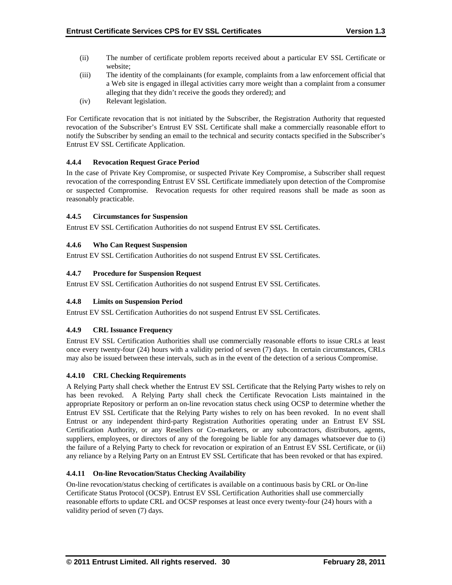- (ii) The number of certificate problem reports received about a particular EV SSL Certificate or website;
- (iii) The identity of the complainants (for example, complaints from a law enforcement official that a Web site is engaged in illegal activities carry more weight than a complaint from a consumer alleging that they didn't receive the goods they ordered); and
- (iv) Relevant legislation.

For Certificate revocation that is not initiated by the Subscriber, the Registration Authority that requested revocation of the Subscriber's Entrust EV SSL Certificate shall make a commercially reasonable effort to notify the Subscriber by sending an email to the technical and security contacts specified in the Subscriber's Entrust EV SSL Certificate Application.

## **4.4.4 Revocation Request Grace Period**

In the case of Private Key Compromise, or suspected Private Key Compromise, a Subscriber shall request revocation of the corresponding Entrust EV SSL Certificate immediately upon detection of the Compromise or suspected Compromise. Revocation requests for other required reasons shall be made as soon as reasonably practicable.

## **4.4.5 Circumstances for Suspension**

Entrust EV SSL Certification Authorities do not suspend Entrust EV SSL Certificates.

# **4.4.6 Who Can Request Suspension**

Entrust EV SSL Certification Authorities do not suspend Entrust EV SSL Certificates.

## **4.4.7 Procedure for Suspension Request**

Entrust EV SSL Certification Authorities do not suspend Entrust EV SSL Certificates.

#### **4.4.8 Limits on Suspension Period**

Entrust EV SSL Certification Authorities do not suspend Entrust EV SSL Certificates.

# **4.4.9 CRL Issuance Frequency**

Entrust EV SSL Certification Authorities shall use commercially reasonable efforts to issue CRLs at least once every twenty-four (24) hours with a validity period of seven (7) days. In certain circumstances, CRLs may also be issued between these intervals, such as in the event of the detection of a serious Compromise.

#### **4.4.10 CRL Checking Requirements**

A Relying Party shall check whether the Entrust EV SSL Certificate that the Relying Party wishes to rely on has been revoked. A Relying Party shall check the Certificate Revocation Lists maintained in the appropriate Repository or perform an on-line revocation status check using OCSP to determine whether the Entrust EV SSL Certificate that the Relying Party wishes to rely on has been revoked. In no event shall Entrust or any independent third-party Registration Authorities operating under an Entrust EV SSL Certification Authority, or any Resellers or Co-marketers, or any subcontractors, distributors, agents, suppliers, employees, or directors of any of the foregoing be liable for any damages whatsoever due to (i) the failure of a Relying Party to check for revocation or expiration of an Entrust EV SSL Certificate, or (ii) any reliance by a Relying Party on an Entrust EV SSL Certificate that has been revoked or that has expired.

# **4.4.11 On-line Revocation/Status Checking Availability**

On-line revocation/status checking of certificates is available on a continuous basis by CRL or On-line Certificate Status Protocol (OCSP). Entrust EV SSL Certification Authorities shall use commercially reasonable efforts to update CRL and OCSP responses at least once every twenty-four (24) hours with a validity period of seven (7) days.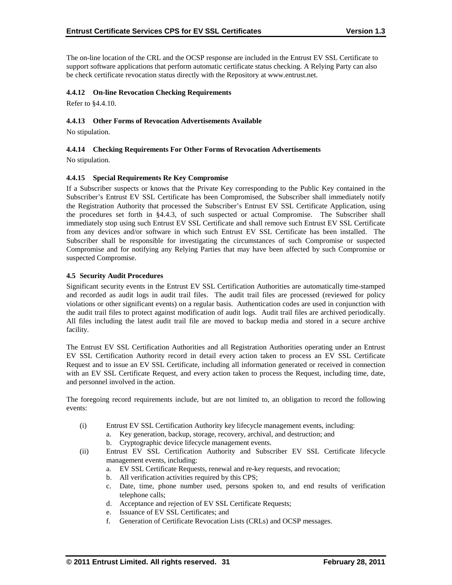The on-line location of the CRL and the OCSP response are included in the Entrust EV SSL Certificate to support software applications that perform automatic certificate status checking. A Relying Party can also be check certificate revocation status directly with the Repository at www.entrust.net.

## **4.4.12 On-line Revocation Checking Requirements**

Refer to §4.4.10.

## **4.4.13 Other Forms of Revocation Advertisements Available**

No stipulation.

#### **4.4.14 Checking Requirements For Other Forms of Revocation Advertisements**

No stipulation.

## **4.4.15 Special Requirements Re Key Compromise**

If a Subscriber suspects or knows that the Private Key corresponding to the Public Key contained in the Subscriber's Entrust EV SSL Certificate has been Compromised, the Subscriber shall immediately notify the Registration Authority that processed the Subscriber's Entrust EV SSL Certificate Application, using the procedures set forth in §4.4.3, of such suspected or actual Compromise. The Subscriber shall immediately stop using such Entrust EV SSL Certificate and shall remove such Entrust EV SSL Certificate from any devices and/or software in which such Entrust EV SSL Certificate has been installed. The Subscriber shall be responsible for investigating the circumstances of such Compromise or suspected Compromise and for notifying any Relying Parties that may have been affected by such Compromise or suspected Compromise.

#### **4.5 Security Audit Procedures**

Significant security events in the Entrust EV SSL Certification Authorities are automatically time-stamped and recorded as audit logs in audit trail files. The audit trail files are processed (reviewed for policy violations or other significant events) on a regular basis. Authentication codes are used in conjunction with the audit trail files to protect against modification of audit logs. Audit trail files are archived periodically. All files including the latest audit trail file are moved to backup media and stored in a secure archive facility.

The Entrust EV SSL Certification Authorities and all Registration Authorities operating under an Entrust EV SSL Certification Authority record in detail every action taken to process an EV SSL Certificate Request and to issue an EV SSL Certificate, including all information generated or received in connection with an EV SSL Certificate Request, and every action taken to process the Request, including time, date, and personnel involved in the action.

The foregoing record requirements include, but are not limited to, an obligation to record the following events:

- (i) Entrust EV SSL Certification Authority key lifecycle management events, including:
	- a. Key generation, backup, storage, recovery, archival, and destruction; and
	- b. Cryptographic device lifecycle management events.
- (ii) Entrust EV SSL Certification Authority and Subscriber EV SSL Certificate lifecycle management events, including:
	- a. EV SSL Certificate Requests, renewal and re-key requests, and revocation;
	- b. All verification activities required by this CPS;
	- c. Date, time, phone number used, persons spoken to, and end results of verification telephone calls;
	- d. Acceptance and rejection of EV SSL Certificate Requests;
	- e. Issuance of EV SSL Certificates; and
	- f. Generation of Certificate Revocation Lists (CRLs) and OCSP messages.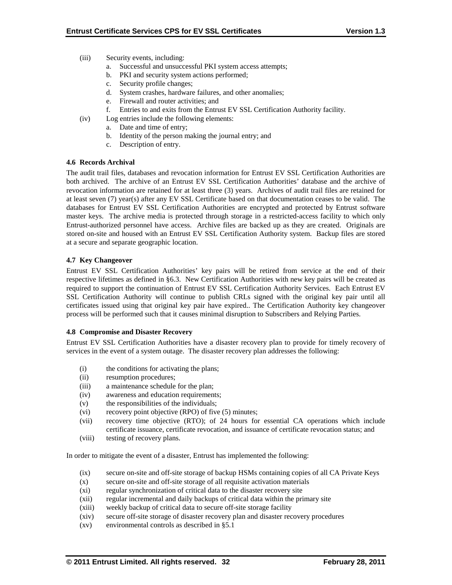- (iii) Security events, including:
	- a. Successful and unsuccessful PKI system access attempts;
	- b. PKI and security system actions performed;
	- c. Security profile changes;
	- d. System crashes, hardware failures, and other anomalies;
	- e. Firewall and router activities; and
	- f. Entries to and exits from the Entrust EV SSL Certification Authority facility.
- (iv) Log entries include the following elements:
	- a. Date and time of entry;
	- b. Identity of the person making the journal entry; and
	- c. Description of entry.

## **4.6 Records Archival**

The audit trail files, databases and revocation information for Entrust EV SSL Certification Authorities are both archived. The archive of an Entrust EV SSL Certification Authorities' database and the archive of revocation information are retained for at least three (3) years. Archives of audit trail files are retained for at least seven (7) year(s) after any EV SSL Certificate based on that documentation ceases to be valid. The databases for Entrust EV SSL Certification Authorities are encrypted and protected by Entrust software master keys. The archive media is protected through storage in a restricted-access facility to which only Entrust-authorized personnel have access. Archive files are backed up as they are created. Originals are stored on-site and housed with an Entrust EV SSL Certification Authority system. Backup files are stored at a secure and separate geographic location.

## **4.7 Key Changeover**

Entrust EV SSL Certification Authorities' key pairs will be retired from service at the end of their respective lifetimes as defined in §6.3. New Certification Authorities with new key pairs will be created as required to support the continuation of Entrust EV SSL Certification Authority Services. Each Entrust EV SSL Certification Authority will continue to publish CRLs signed with the original key pair until all certificates issued using that original key pair have expired.. The Certification Authority key changeover process will be performed such that it causes minimal disruption to Subscribers and Relying Parties.

#### **4.8 Compromise and Disaster Recovery**

Entrust EV SSL Certification Authorities have a disaster recovery plan to provide for timely recovery of services in the event of a system outage. The disaster recovery plan addresses the following:

- (i) the conditions for activating the plans;
- (ii) resumption procedures;
- (iii) a maintenance schedule for the plan;
- (iv) awareness and education requirements;
- (v) the responsibilities of the individuals;
- (vi) recovery point objective (RPO) of five (5) minutes;
- (vii) recovery time objective (RTO); of 24 hours for essential CA operations which include certificate issuance, certificate revocation, and issuance of certificate revocation status; and
- (viii) testing of recovery plans.

In order to mitigate the event of a disaster, Entrust has implemented the following:

- (ix) secure on-site and off-site storage of backup HSMs containing copies of all CA Private Keys
- (x) secure on-site and off-site storage of all requisite activation materials
- (xi) regular synchronization of critical data to the disaster recovery site
- (xii) regular incremental and daily backups of critical data within the primary site
- (xiii) weekly backup of critical data to secure off-site storage facility
- (xiv) secure off-site storage of disaster recovery plan and disaster recovery procedures
- (xv) environmental controls as described in §5.1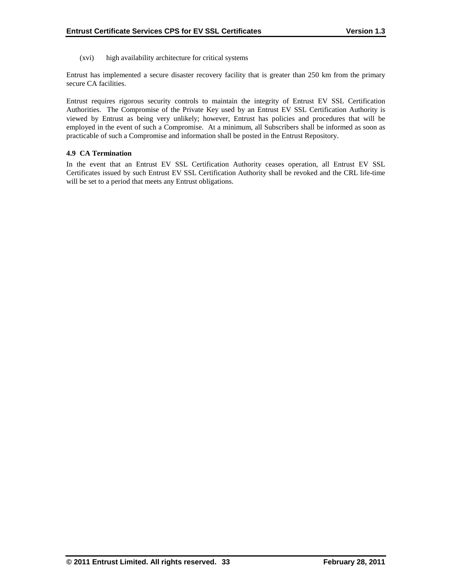(xvi) high availability architecture for critical systems

Entrust has implemented a secure disaster recovery facility that is greater than 250 km from the primary secure CA facilities.

Entrust requires rigorous security controls to maintain the integrity of Entrust EV SSL Certification Authorities. The Compromise of the Private Key used by an Entrust EV SSL Certification Authority is viewed by Entrust as being very unlikely; however, Entrust has policies and procedures that will be employed in the event of such a Compromise. At a minimum, all Subscribers shall be informed as soon as practicable of such a Compromise and information shall be posted in the Entrust Repository.

## **4.9 CA Termination**

In the event that an Entrust EV SSL Certification Authority ceases operation, all Entrust EV SSL Certificates issued by such Entrust EV SSL Certification Authority shall be revoked and the CRL life-time will be set to a period that meets any Entrust obligations.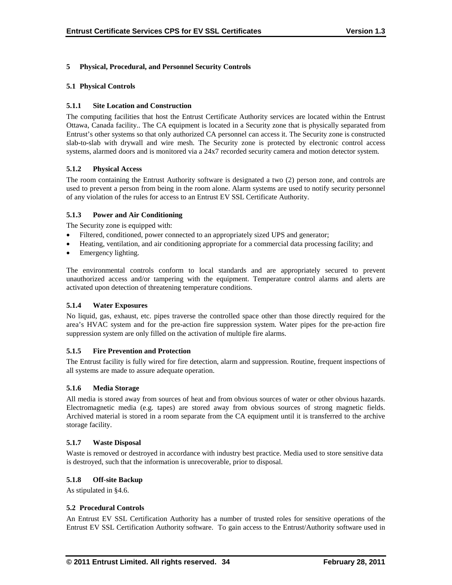# **5 Physical, Procedural, and Personnel Security Controls**

### **5.1 Physical Controls**

### **5.1.1 Site Location and Construction**

The computing facilities that host the Entrust Certificate Authority services are located within the Entrust Ottawa, Canada facility.. The CA equipment is located in a Security zone that is physically separated from Entrust's other systems so that only authorized CA personnel can access it. The Security zone is constructed slab-to-slab with drywall and wire mesh. The Security zone is protected by electronic control access systems, alarmed doors and is monitored via a 24x7 recorded security camera and motion detector system.

## **5.1.2 Physical Access**

The room containing the Entrust Authority software is designated a two (2) person zone, and controls are used to prevent a person from being in the room alone. Alarm systems are used to notify security personnel of any violation of the rules for access to an Entrust EV SSL Certificate Authority.

## **5.1.3 Power and Air Conditioning**

The Security zone is equipped with:

- Filtered, conditioned, power connected to an appropriately sized UPS and generator;
- Heating, ventilation, and air conditioning appropriate for a commercial data processing facility; and
- Emergency lighting.

The environmental controls conform to local standards and are appropriately secured to prevent unauthorized access and/or tampering with the equipment. Temperature control alarms and alerts are activated upon detection of threatening temperature conditions.

#### **5.1.4 Water Exposures**

No liquid, gas, exhaust, etc. pipes traverse the controlled space other than those directly required for the area's HVAC system and for the pre-action fire suppression system. Water pipes for the pre-action fire suppression system are only filled on the activation of multiple fire alarms.

#### **5.1.5 Fire Prevention and Protection**

The Entrust facility is fully wired for fire detection, alarm and suppression. Routine, frequent inspections of all systems are made to assure adequate operation.

#### **5.1.6 Media Storage**

All media is stored away from sources of heat and from obvious sources of water or other obvious hazards. Electromagnetic media (e.g. tapes) are stored away from obvious sources of strong magnetic fields. Archived material is stored in a room separate from the CA equipment until it is transferred to the archive storage facility.

#### **5.1.7 Waste Disposal**

Waste is removed or destroyed in accordance with industry best practice. Media used to store sensitive data is destroyed, such that the information is unrecoverable, prior to disposal.

#### **5.1.8 Off-site Backup**

As stipulated in §4.6.

#### **5.2 Procedural Controls**

An Entrust EV SSL Certification Authority has a number of trusted roles for sensitive operations of the Entrust EV SSL Certification Authority software. To gain access to the Entrust/Authority software used in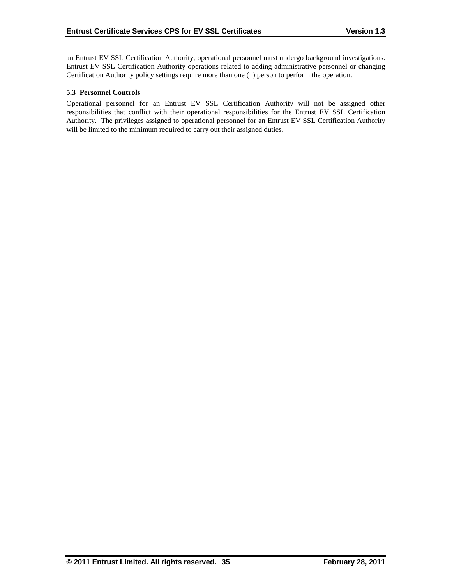an Entrust EV SSL Certification Authority, operational personnel must undergo background investigations. Entrust EV SSL Certification Authority operations related to adding administrative personnel or changing Certification Authority policy settings require more than one (1) person to perform the operation.

#### **5.3 Personnel Controls**

Operational personnel for an Entrust EV SSL Certification Authority will not be assigned other responsibilities that conflict with their operational responsibilities for the Entrust EV SSL Certification Authority. The privileges assigned to operational personnel for an Entrust EV SSL Certification Authority will be limited to the minimum required to carry out their assigned duties.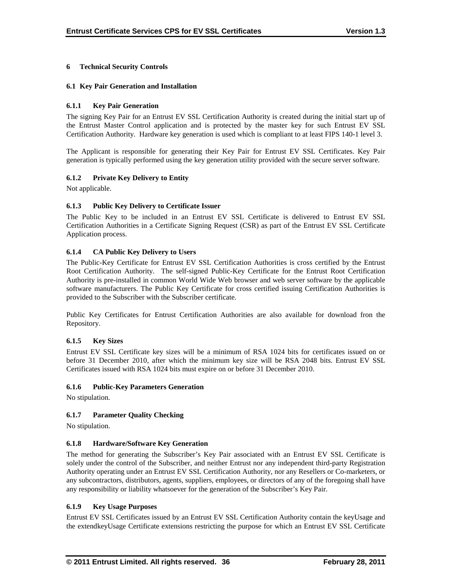## **6 Technical Security Controls**

### **6.1 Key Pair Generation and Installation**

### **6.1.1 Key Pair Generation**

The signing Key Pair for an Entrust EV SSL Certification Authority is created during the initial start up of the Entrust Master Control application and is protected by the master key for such Entrust EV SSL Certification Authority. Hardware key generation is used which is compliant to at least FIPS 140-1 level 3.

The Applicant is responsible for generating their Key Pair for Entrust EV SSL Certificates. Key Pair generation is typically performed using the key generation utility provided with the secure server software.

## **6.1.2 Private Key Delivery to Entity**

Not applicable.

## **6.1.3 Public Key Delivery to Certificate Issuer**

The Public Key to be included in an Entrust EV SSL Certificate is delivered to Entrust EV SSL Certification Authorities in a Certificate Signing Request (CSR) as part of the Entrust EV SSL Certificate Application process.

## **6.1.4 CA Public Key Delivery to Users**

The Public-Key Certificate for Entrust EV SSL Certification Authorities is cross certified by the Entrust Root Certification Authority. The self-signed Public-Key Certificate for the Entrust Root Certification Authority is pre-installed in common World Wide Web browser and web server software by the applicable software manufacturers. The Public Key Certificate for cross certified issuing Certification Authorities is provided to the Subscriber with the Subscriber certificate.

Public Key Certificates for Entrust Certification Authorities are also available for download fron the Repository.

#### **6.1.5 Key Sizes**

Entrust EV SSL Certificate key sizes will be a minimum of RSA 1024 bits for certificates issued on or before 31 December 2010, after which the minimum key size will be RSA 2048 bits. Entrust EV SSL Certificates issued with RSA 1024 bits must expire on or before 31 December 2010.

#### **6.1.6 Public-Key Parameters Generation**

No stipulation.

#### **6.1.7 Parameter Quality Checking**

No stipulation.

#### **6.1.8 Hardware/Software Key Generation**

The method for generating the Subscriber's Key Pair associated with an Entrust EV SSL Certificate is solely under the control of the Subscriber, and neither Entrust nor any independent third-party Registration Authority operating under an Entrust EV SSL Certification Authority, nor any Resellers or Co-marketers, or any subcontractors, distributors, agents, suppliers, employees, or directors of any of the foregoing shall have any responsibility or liability whatsoever for the generation of the Subscriber's Key Pair.

#### **6.1.9 Key Usage Purposes**

Entrust EV SSL Certificates issued by an Entrust EV SSL Certification Authority contain the keyUsage and the extendkeyUsage Certificate extensions restricting the purpose for which an Entrust EV SSL Certificate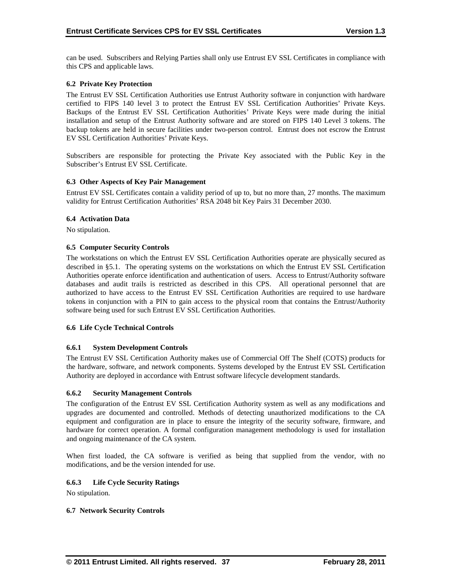can be used. Subscribers and Relying Parties shall only use Entrust EV SSL Certificates in compliance with this CPS and applicable laws.

## **6.2 Private Key Protection**

The Entrust EV SSL Certification Authorities use Entrust Authority software in conjunction with hardware certified to FIPS 140 level 3 to protect the Entrust EV SSL Certification Authorities' Private Keys. Backups of the Entrust EV SSL Certification Authorities' Private Keys were made during the initial installation and setup of the Entrust Authority software and are stored on FIPS 140 Level 3 tokens. The backup tokens are held in secure facilities under two-person control. Entrust does not escrow the Entrust EV SSL Certification Authorities' Private Keys.

Subscribers are responsible for protecting the Private Key associated with the Public Key in the Subscriber's Entrust EV SSL Certificate.

#### **6.3 Other Aspects of Key Pair Management**

Entrust EV SSL Certificates contain a validity period of up to, but no more than, 27 months. The maximum validity for Entrust Certification Authorities' RSA 2048 bit Key Pairs 31 December 2030.

#### **6.4 Activation Data**

No stipulation.

#### **6.5 Computer Security Controls**

The workstations on which the Entrust EV SSL Certification Authorities operate are physically secured as described in §5.1. The operating systems on the workstations on which the Entrust EV SSL Certification Authorities operate enforce identification and authentication of users. Access to Entrust/Authority software databases and audit trails is restricted as described in this CPS. All operational personnel that are authorized to have access to the Entrust EV SSL Certification Authorities are required to use hardware tokens in conjunction with a PIN to gain access to the physical room that contains the Entrust/Authority software being used for such Entrust EV SSL Certification Authorities.

#### **6.6 Life Cycle Technical Controls**

#### **6.6.1 System Development Controls**

The Entrust EV SSL Certification Authority makes use of Commercial Off The Shelf (COTS) products for the hardware, software, and network components. Systems developed by the Entrust EV SSL Certification Authority are deployed in accordance with Entrust software lifecycle development standards.

#### **6.6.2 Security Management Controls**

The configuration of the Entrust EV SSL Certification Authority system as well as any modifications and upgrades are documented and controlled. Methods of detecting unauthorized modifications to the CA equipment and configuration are in place to ensure the integrity of the security software, firmware, and hardware for correct operation. A formal configuration management methodology is used for installation and ongoing maintenance of the CA system.

When first loaded, the CA software is verified as being that supplied from the vendor, with no modifications, and be the version intended for use.

#### **6.6.3 Life Cycle Security Ratings**

No stipulation.

#### **6.7 Network Security Controls**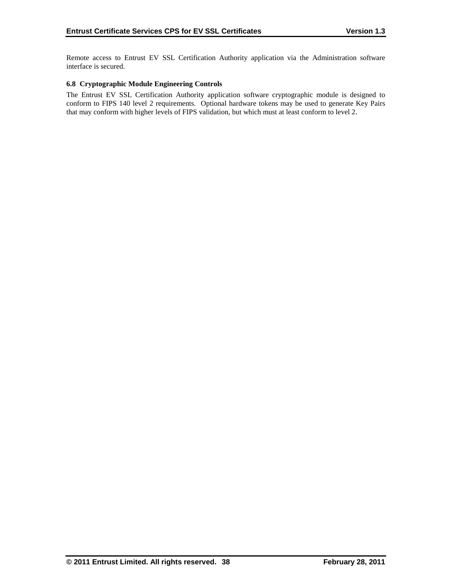Remote access to Entrust EV SSL Certification Authority application via the Administration software interface is secured.

## **6.8 Cryptographic Module Engineering Controls**

The Entrust EV SSL Certification Authority application software cryptographic module is designed to conform to FIPS 140 level 2 requirements. Optional hardware tokens may be used to generate Key Pairs that may conform with higher levels of FIPS validation, but which must at least conform to level 2.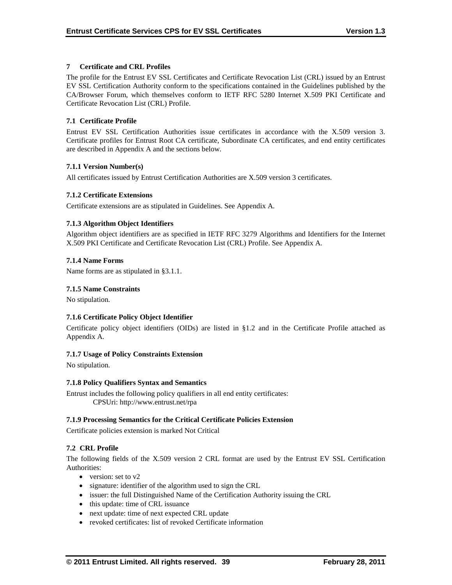## **7 Certificate and CRL Profiles**

The profile for the Entrust EV SSL Certificates and Certificate Revocation List (CRL) issued by an Entrust EV SSL Certification Authority conform to the specifications contained in the Guidelines published by the CA/Browser Forum, which themselves conform to IETF RFC 5280 Internet X.509 PKI Certificate and Certificate Revocation List (CRL) Profile.

## **7.1 Certificate Profile**

Entrust EV SSL Certification Authorities issue certificates in accordance with the X.509 version 3. Certificate profiles for Entrust Root CA certificate, Subordinate CA certificates, and end entity certificates are described in Appendix A and the sections below.

## **7.1.1 Version Number(s)**

All certificates issued by Entrust Certification Authorities are X.509 version 3 certificates.

## **7.1.2 Certificate Extensions**

Certificate extensions are as stipulated in Guidelines. See Appendix A.

## **7.1.3 Algorithm Object Identifiers**

Algorithm object identifiers are as specified in IETF RFC 3279 Algorithms and Identifiers for the Internet X.509 PKI Certificate and Certificate Revocation List (CRL) Profile. See Appendix A.

#### **7.1.4 Name Forms**

Name forms are as stipulated in §3.1.1.

#### **7.1.5 Name Constraints**

No stipulation.

# **7.1.6 Certificate Policy Object Identifier**

Certificate policy object identifiers (OIDs) are listed in §1.2 and in the Certificate Profile attached as Appendix A.

#### **7.1.7 Usage of Policy Constraints Extension**

No stipulation.

#### **7.1.8 Policy Qualifiers Syntax and Semantics**

Entrust includes the following policy qualifiers in all end entity certificates: CPSUri: http://www.entrust.net/rpa

#### **7.1.9 Processing Semantics for the Critical Certificate Policies Extension**

Certificate policies extension is marked Not Critical

# **7.2 CRL Profile**

The following fields of the X.509 version 2 CRL format are used by the Entrust EV SSL Certification Authorities:

- version: set to v2
- signature: identifier of the algorithm used to sign the CRL
- issuer: the full Distinguished Name of the Certification Authority issuing the CRL
- this update: time of CRL issuance
- next update: time of next expected CRL update
- revoked certificates: list of revoked Certificate information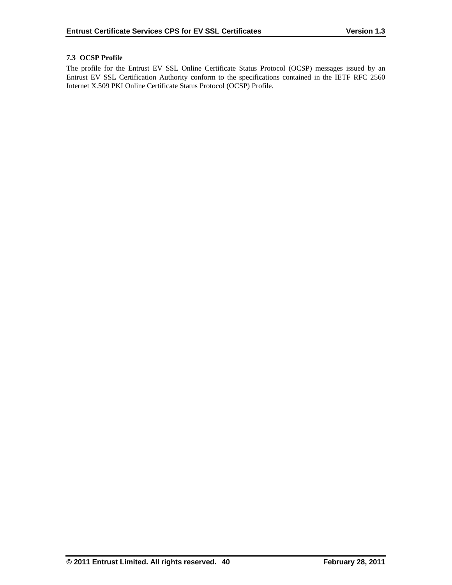## **7.3 OCSP Profile**

The profile for the Entrust EV SSL Online Certificate Status Protocol (OCSP) messages issued by an Entrust EV SSL Certification Authority conform to the specifications contained in the IETF RFC 2560 Internet X.509 PKI Online Certificate Status Protocol (OCSP) Profile.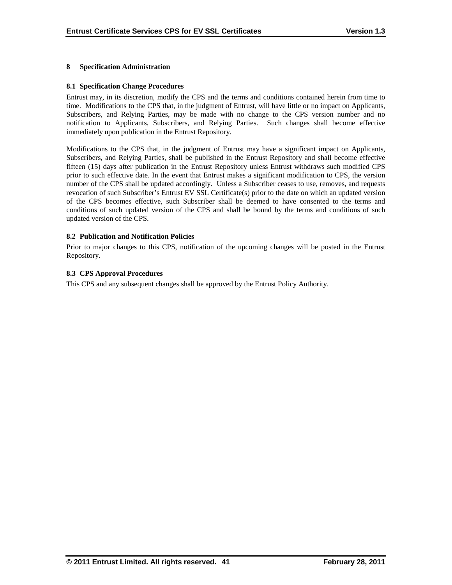#### **8 Specification Administration**

#### **8.1 Specification Change Procedures**

Entrust may, in its discretion, modify the CPS and the terms and conditions contained herein from time to time. Modifications to the CPS that, in the judgment of Entrust, will have little or no impact on Applicants, Subscribers, and Relying Parties, may be made with no change to the CPS version number and no notification to Applicants, Subscribers, and Relying Parties. Such changes shall become effective immediately upon publication in the Entrust Repository.

Modifications to the CPS that, in the judgment of Entrust may have a significant impact on Applicants, Subscribers, and Relying Parties, shall be published in the Entrust Repository and shall become effective fifteen (15) days after publication in the Entrust Repository unless Entrust withdraws such modified CPS prior to such effective date. In the event that Entrust makes a significant modification to CPS, the version number of the CPS shall be updated accordingly. Unless a Subscriber ceases to use, removes, and requests revocation of such Subscriber's Entrust EV SSL Certificate(s) prior to the date on which an updated version of the CPS becomes effective, such Subscriber shall be deemed to have consented to the terms and conditions of such updated version of the CPS and shall be bound by the terms and conditions of such updated version of the CPS.

#### **8.2 Publication and Notification Policies**

Prior to major changes to this CPS, notification of the upcoming changes will be posted in the Entrust Repository.

#### **8.3 CPS Approval Procedures**

This CPS and any subsequent changes shall be approved by the Entrust Policy Authority.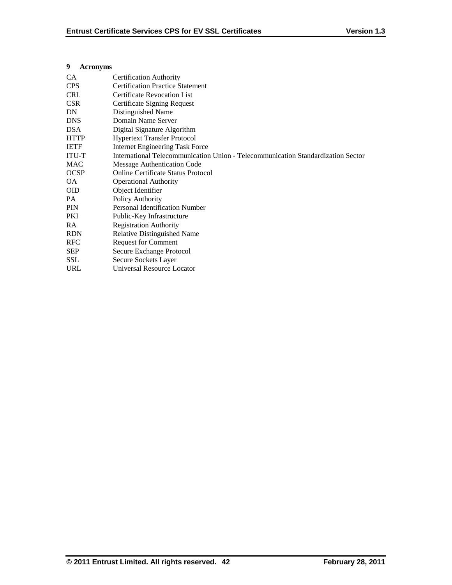## **9 Acronyms**

| <b>CA</b>    | <b>Certification Authority</b>                                                   |
|--------------|----------------------------------------------------------------------------------|
| <b>CPS</b>   | <b>Certification Practice Statement</b>                                          |
| <b>CRL</b>   | <b>Certificate Revocation List</b>                                               |
| <b>CSR</b>   | Certificate Signing Request                                                      |
| DN           | Distinguished Name                                                               |
| <b>DNS</b>   | Domain Name Server                                                               |
| <b>DSA</b>   | Digital Signature Algorithm                                                      |
| <b>HTTP</b>  | <b>Hypertext Transfer Protocol</b>                                               |
| <b>IETF</b>  | <b>Internet Engineering Task Force</b>                                           |
| <b>ITU-T</b> | International Telecommunication Union - Telecommunication Standardization Sector |
| <b>MAC</b>   | Message Authentication Code                                                      |
| <b>OCSP</b>  | Online Certificate Status Protocol                                               |
| OA.          | <b>Operational Authority</b>                                                     |
| <b>OID</b>   | Object Identifier                                                                |
| PA           | Policy Authority                                                                 |
| <b>PIN</b>   | <b>Personal Identification Number</b>                                            |
| PKI          | Public-Key Infrastructure                                                        |
| RA.          | <b>Registration Authority</b>                                                    |
| <b>RDN</b>   | <b>Relative Distinguished Name</b>                                               |
| <b>RFC</b>   | <b>Request for Comment</b>                                                       |
| <b>SEP</b>   | Secure Exchange Protocol                                                         |
| <b>SSL</b>   | Secure Sockets Layer                                                             |
| <b>URL</b>   | Universal Resource Locator                                                       |
|              |                                                                                  |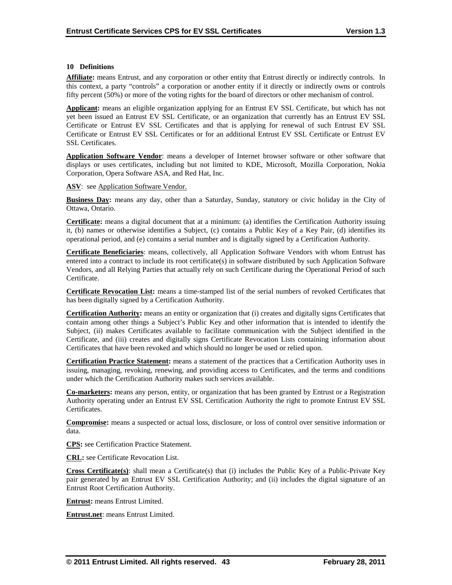#### **10 Definitions**

**Affiliate:** means Entrust, and any corporation or other entity that Entrust directly or indirectly controls. In this context, a party "controls" a corporation or another entity if it directly or indirectly owns or controls fifty percent (50%) or more of the voting rights for the board of directors or other mechanism of control.

**Applicant:** means an eligible organization applying for an Entrust EV SSL Certificate, but which has not yet been issued an Entrust EV SSL Certificate, or an organization that currently has an Entrust EV SSL Certificate or Entrust EV SSL Certificates and that is applying for renewal of such Entrust EV SSL Certificate or Entrust EV SSL Certificates or for an additional Entrust EV SSL Certificate or Entrust EV SSL Certificates.

Application Software Vendor: means a developer of Internet browser software or other software that displays or uses certificates, including but not limited to KDE, Microsoft, Mozilla Corporation, Nokia Corporation, Opera Software ASA, and Red Hat, Inc.

ASV: see Application Software Vendor.

**Business Day:** means any day, other than a Saturday, Sunday, statutory or civic holiday in the City of Ottawa, Ontario.

**Certificate:** means a digital document that at a minimum: (a) identifies the Certification Authority issuing it, (b) names or otherwise identifies a Subject, (c) contains a Public Key of a Key Pair, (d) identifies its operational period, and (e) contains a serial number and is digitally signed by a Certification Authority.

**Certificate Beneficiaries**: means, collectively, all Application Software Vendors with whom Entrust has entered into a contract to include its root certificate(s) in software distributed by such Application Software Vendors, and all Relying Parties that actually rely on such Certificate during the Operational Period of such Certificate.

**Certificate Revocation List:** means a time-stamped list of the serial numbers of revoked Certificates that has been digitally signed by a Certification Authority.

**Certification Authority:** means an entity or organization that (i) creates and digitally signs Certificates that contain among other things a Subject's Public Key and other information that is intended to identify the Subject, (ii) makes Certificates available to facilitate communication with the Subject identified in the Certificate, and (iii) creates and digitally signs Certificate Revocation Lists containing information about Certificates that have been revoked and which should no longer be used or relied upon.

**Certification Practice Statement:** means a statement of the practices that a Certification Authority uses in issuing, managing, revoking, renewing, and providing access to Certificates, and the terms and conditions under which the Certification Authority makes such services available.

**Co-marketers:** means any person, entity, or organization that has been granted by Entrust or a Registration Authority operating under an Entrust EV SSL Certification Authority the right to promote Entrust EV SSL Certificates.

**Compromise:** means a suspected or actual loss, disclosure, or loss of control over sensitive information or data.

**CPS:** see Certification Practice Statement.

**CRL:** see Certificate Revocation List.

**Cross Certificate(s)**: shall mean a Certificate(s) that (i) includes the Public Key of a Public-Private Key pair generated by an Entrust EV SSL Certification Authority; and (ii) includes the digital signature of an Entrust Root Certification Authority.

**Entrust:** means Entrust Limited.

**Entrust.net**: means Entrust Limited.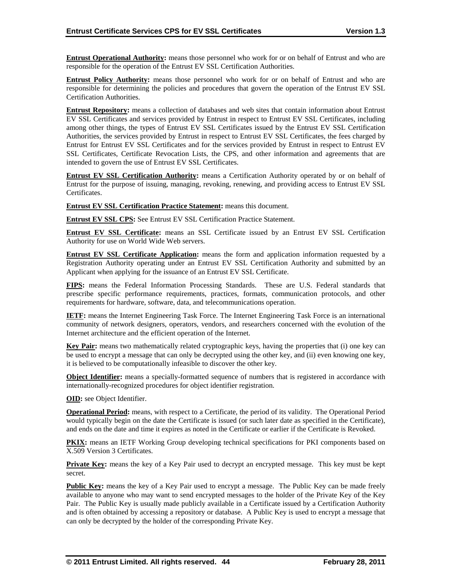**Entrust Operational Authority:** means those personnel who work for or on behalf of Entrust and who are responsible for the operation of the Entrust EV SSL Certification Authorities.

**Entrust Policy Authority:** means those personnel who work for or on behalf of Entrust and who are responsible for determining the policies and procedures that govern the operation of the Entrust EV SSL Certification Authorities.

**Entrust Repository:** means a collection of databases and web sites that contain information about Entrust EV SSL Certificates and services provided by Entrust in respect to Entrust EV SSL Certificates, including among other things, the types of Entrust EV SSL Certificates issued by the Entrust EV SSL Certification Authorities, the services provided by Entrust in respect to Entrust EV SSL Certificates, the fees charged by Entrust for Entrust EV SSL Certificates and for the services provided by Entrust in respect to Entrust EV SSL Certificates, Certificate Revocation Lists, the CPS, and other information and agreements that are intended to govern the use of Entrust EV SSL Certificates.

**Entrust EV SSL Certification Authority:** means a Certification Authority operated by or on behalf of Entrust for the purpose of issuing, managing, revoking, renewing, and providing access to Entrust EV SSL Certificates.

**Entrust EV SSL Certification Practice Statement:** means this document.

**Entrust EV SSL CPS:** See Entrust EV SSL Certification Practice Statement.

**Entrust EV SSL Certificate:** means an SSL Certificate issued by an Entrust EV SSL Certification Authority for use on World Wide Web servers.

**Entrust EV SSL Certificate Application:** means the form and application information requested by a Registration Authority operating under an Entrust EV SSL Certification Authority and submitted by an Applicant when applying for the issuance of an Entrust EV SSL Certificate.

**FIPS:** means the Federal Information Processing Standards. These are U.S. Federal standards that prescribe specific performance requirements, practices, formats, communication protocols, and other requirements for hardware, software, data, and telecommunications operation.

**IETF:** means the Internet Engineering Task Force. The Internet Engineering Task Force is an international community of network designers, operators, vendors, and researchers concerned with the evolution of the Internet architecture and the efficient operation of the Internet.

**Key Pair:** means two mathematically related cryptographic keys, having the properties that (i) one key can be used to encrypt a message that can only be decrypted using the other key, and (ii) even knowing one key, it is believed to be computationally infeasible to discover the other key.

**Object Identifier:** means a specially-formatted sequence of numbers that is registered in accordance with internationally-recognized procedures for object identifier registration.

**OID:** see Object Identifier.

**Operational Period:** means, with respect to a Certificate, the period of its validity. The Operational Period would typically begin on the date the Certificate is issued (or such later date as specified in the Certificate), and ends on the date and time it expires as noted in the Certificate or earlier if the Certificate is Revoked.

**PKIX:** means an IETF Working Group developing technical specifications for PKI components based on X.509 Version 3 Certificates.

**Private Key:** means the key of a Key Pair used to decrypt an encrypted message. This key must be kept secret.

**Public Key:** means the key of a Key Pair used to encrypt a message. The Public Key can be made freely available to anyone who may want to send encrypted messages to the holder of the Private Key of the Key Pair. The Public Key is usually made publicly available in a Certificate issued by a Certification Authority and is often obtained by accessing a repository or database. A Public Key is used to encrypt a message that can only be decrypted by the holder of the corresponding Private Key.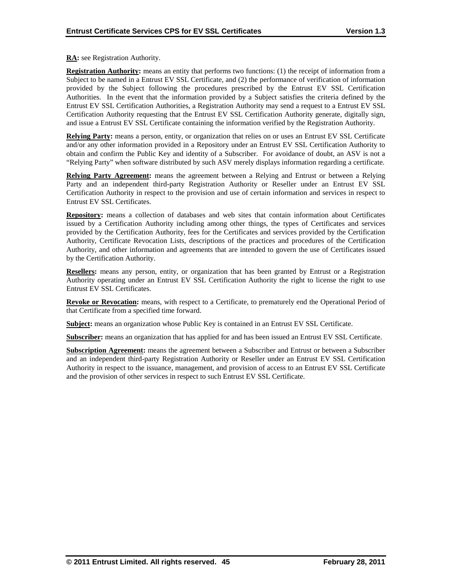**RA:** see Registration Authority.

**Registration Authority:** means an entity that performs two functions: (1) the receipt of information from a Subject to be named in a Entrust EV SSL Certificate, and (2) the performance of verification of information provided by the Subject following the procedures prescribed by the Entrust EV SSL Certification Authorities. In the event that the information provided by a Subject satisfies the criteria defined by the Entrust EV SSL Certification Authorities, a Registration Authority may send a request to a Entrust EV SSL Certification Authority requesting that the Entrust EV SSL Certification Authority generate, digitally sign, and issue a Entrust EV SSL Certificate containing the information verified by the Registration Authority.

**Relying Party:** means a person, entity, or organization that relies on or uses an Entrust EV SSL Certificate and/or any other information provided in a Repository under an Entrust EV SSL Certification Authority to obtain and confirm the Public Key and identity of a Subscriber. For avoidance of doubt, an ASV is not a "Relying Party" when software distributed by such ASV merely displays information regarding a certificate.

**Relying Party Agreement:** means the agreement between a Relying and Entrust or between a Relying Party and an independent third-party Registration Authority or Reseller under an Entrust EV SSL Certification Authority in respect to the provision and use of certain information and services in respect to Entrust EV SSL Certificates.

**Repository:** means a collection of databases and web sites that contain information about Certificates issued by a Certification Authority including among other things, the types of Certificates and services provided by the Certification Authority, fees for the Certificates and services provided by the Certification Authority, Certificate Revocation Lists, descriptions of the practices and procedures of the Certification Authority, and other information and agreements that are intended to govern the use of Certificates issued by the Certification Authority.

**Resellers:** means any person, entity, or organization that has been granted by Entrust or a Registration Authority operating under an Entrust EV SSL Certification Authority the right to license the right to use Entrust EV SSL Certificates.

**Revoke or Revocation:** means, with respect to a Certificate, to prematurely end the Operational Period of that Certificate from a specified time forward.

**Subject:** means an organization whose Public Key is contained in an Entrust EV SSL Certificate.

**Subscriber:** means an organization that has applied for and has been issued an Entrust EV SSL Certificate.

**Subscription Agreement:** means the agreement between a Subscriber and Entrust or between a Subscriber and an independent third-party Registration Authority or Reseller under an Entrust EV SSL Certification Authority in respect to the issuance, management, and provision of access to an Entrust EV SSL Certificate and the provision of other services in respect to such Entrust EV SSL Certificate.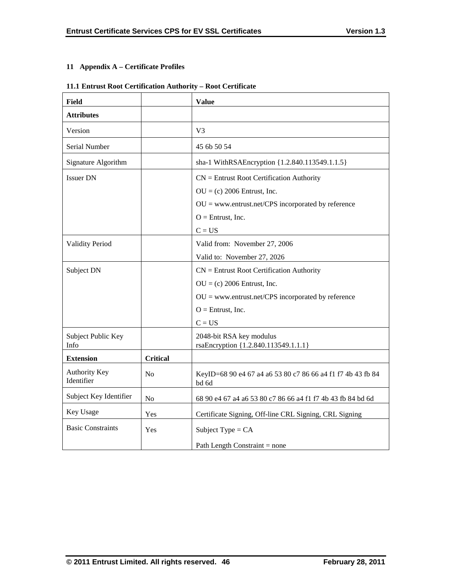# **11 Appendix A – Certificate Profiles**

# **11.1 Entrust Root Certification Authority – Root Certificate**

| <b>Field</b>                       |                 | <b>Value</b>                                                         |  |  |
|------------------------------------|-----------------|----------------------------------------------------------------------|--|--|
| <b>Attributes</b>                  |                 |                                                                      |  |  |
| Version                            |                 | V <sub>3</sub>                                                       |  |  |
| Serial Number                      |                 | 45 6b 50 54                                                          |  |  |
| Signature Algorithm                |                 | sha-1 WithRSAEncryption {1.2.840.113549.1.1.5}                       |  |  |
| <b>Issuer DN</b>                   |                 | $CN =$ Entrust Root Certification Authority                          |  |  |
|                                    |                 | $OU = (c) 2006$ Entrust, Inc.                                        |  |  |
|                                    |                 | $OU =$ www.entrust.net/CPS incorporated by reference                 |  |  |
|                                    |                 | $O =$ Entrust, Inc.                                                  |  |  |
|                                    |                 | $C = US$                                                             |  |  |
| <b>Validity Period</b>             |                 | Valid from: November 27, 2006                                        |  |  |
|                                    |                 | Valid to: November 27, 2026                                          |  |  |
| Subject DN                         |                 | $CN =$ Entrust Root Certification Authority                          |  |  |
|                                    |                 | $OU = (c) 2006$ Entrust, Inc.                                        |  |  |
|                                    |                 | $OU =$ www.entrust.net/CPS incorporated by reference                 |  |  |
|                                    |                 | $O =$ Entrust, Inc.                                                  |  |  |
|                                    |                 | $C = US$                                                             |  |  |
| Subject Public Key<br>Info         |                 | 2048-bit RSA key modulus<br>rsaEncryption {1.2.840.113549.1.1.1}     |  |  |
| <b>Extension</b>                   | <b>Critical</b> |                                                                      |  |  |
| <b>Authority Key</b><br>Identifier | N <sub>0</sub>  | KeyID=68 90 e4 67 a4 a6 53 80 c7 86 66 a4 f1 f7 4b 43 fb 84<br>bd 6d |  |  |
| Subject Key Identifier             | No              | 68 90 e4 67 a4 a6 53 80 c7 86 66 a4 f1 f7 4b 43 fb 84 bd 6d          |  |  |
| Key Usage<br>Yes                   |                 | Certificate Signing, Off-line CRL Signing, CRL Signing               |  |  |
| <b>Basic Constraints</b>           | Yes             | Subject Type = $CA$                                                  |  |  |
|                                    |                 | Path Length Constraint = none                                        |  |  |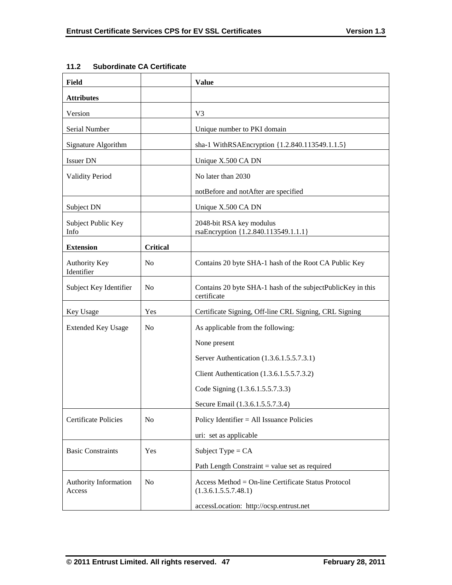| Field                              |                 | <b>Value</b>                                                                |
|------------------------------------|-----------------|-----------------------------------------------------------------------------|
| <b>Attributes</b>                  |                 |                                                                             |
| Version                            |                 | V <sub>3</sub>                                                              |
| Serial Number                      |                 | Unique number to PKI domain                                                 |
| Signature Algorithm                |                 | sha-1 WithRSAEncryption {1.2.840.113549.1.1.5}                              |
| <b>Issuer DN</b>                   |                 | Unique X.500 CA DN                                                          |
| <b>Validity Period</b>             |                 | No later than 2030                                                          |
|                                    |                 | notBefore and notAfter are specified                                        |
| Subject DN                         |                 | Unique X.500 CA DN                                                          |
| Subject Public Key<br>Info         |                 | 2048-bit RSA key modulus<br>rsaEncryption {1.2.840.113549.1.1.1}            |
| <b>Extension</b>                   | <b>Critical</b> |                                                                             |
| <b>Authority Key</b><br>Identifier | No              | Contains 20 byte SHA-1 hash of the Root CA Public Key                       |
| Subject Key Identifier             | N <sub>0</sub>  | Contains 20 byte SHA-1 hash of the subjectPublicKey in this<br>certificate  |
| Key Usage                          | Yes             | Certificate Signing, Off-line CRL Signing, CRL Signing                      |
| <b>Extended Key Usage</b>          | No              | As applicable from the following:                                           |
|                                    |                 | None present                                                                |
|                                    |                 | Server Authentication (1.3.6.1.5.5.7.3.1)                                   |
|                                    |                 | Client Authentication (1.3.6.1.5.5.7.3.2)                                   |
|                                    |                 | Code Signing (1.3.6.1.5.5.7.3.3)                                            |
|                                    |                 | Secure Email (1.3.6.1.5.5.7.3.4)                                            |
| Certificate Policies               | No              | Policy Identifier $=$ All Issuance Policies                                 |
|                                    |                 | uri: set as applicable                                                      |
| <b>Basic Constraints</b>           | Yes             | Subject Type = $CA$                                                         |
|                                    |                 | Path Length Constraint $=$ value set as required                            |
| Authority Information<br>Access    | N <sub>0</sub>  | Access Method = On-line Certificate Status Protocol<br>(1.3.6.1.5.5.7.48.1) |
|                                    |                 | accessLocation: http://ocsp.entrust.net                                     |

# **11.2 Subordinate CA Certificate**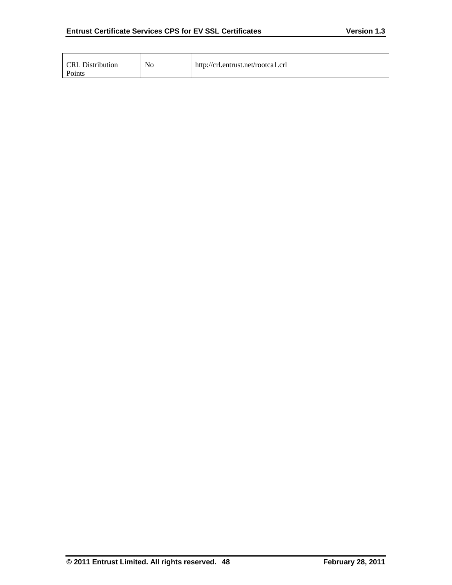| CRL Distribution<br>Points | No | http://crl.entrust.net/rootca1.crl |
|----------------------------|----|------------------------------------|
|----------------------------|----|------------------------------------|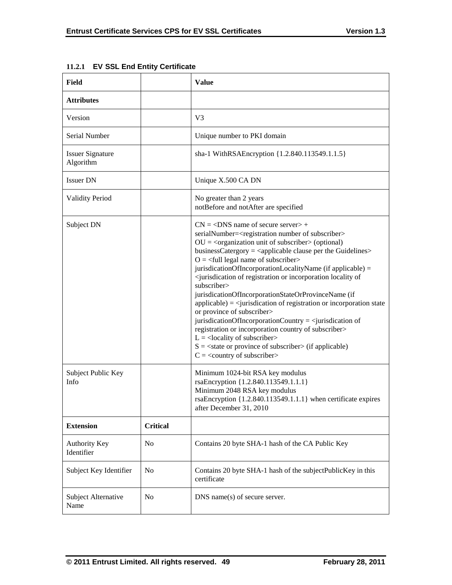| Field                                |                 | <b>Value</b>                                                                                                                                                                                                                                                                                                                                                                                                                                                                                                                                                                                                                                                                                                                                                                                                                                                                                                                                                                                                                                                                                     |
|--------------------------------------|-----------------|--------------------------------------------------------------------------------------------------------------------------------------------------------------------------------------------------------------------------------------------------------------------------------------------------------------------------------------------------------------------------------------------------------------------------------------------------------------------------------------------------------------------------------------------------------------------------------------------------------------------------------------------------------------------------------------------------------------------------------------------------------------------------------------------------------------------------------------------------------------------------------------------------------------------------------------------------------------------------------------------------------------------------------------------------------------------------------------------------|
| <b>Attributes</b>                    |                 |                                                                                                                                                                                                                                                                                                                                                                                                                                                                                                                                                                                                                                                                                                                                                                                                                                                                                                                                                                                                                                                                                                  |
| Version                              |                 | V3                                                                                                                                                                                                                                                                                                                                                                                                                                                                                                                                                                                                                                                                                                                                                                                                                                                                                                                                                                                                                                                                                               |
| Serial Number                        |                 | Unique number to PKI domain                                                                                                                                                                                                                                                                                                                                                                                                                                                                                                                                                                                                                                                                                                                                                                                                                                                                                                                                                                                                                                                                      |
| <b>Issuer Signature</b><br>Algorithm |                 | sha-1 WithRSAEncryption {1.2.840.113549.1.1.5}                                                                                                                                                                                                                                                                                                                                                                                                                                                                                                                                                                                                                                                                                                                                                                                                                                                                                                                                                                                                                                                   |
| <b>Issuer DN</b>                     |                 | Unique X.500 CA DN                                                                                                                                                                                                                                                                                                                                                                                                                                                                                                                                                                                                                                                                                                                                                                                                                                                                                                                                                                                                                                                                               |
| <b>Validity Period</b>               |                 | No greater than 2 years<br>notBefore and notAfter are specified                                                                                                                                                                                                                                                                                                                                                                                                                                                                                                                                                                                                                                                                                                                                                                                                                                                                                                                                                                                                                                  |
| Subject DN                           |                 | $CN = <$ DNS name of secure server $> +$<br>serialNumber= <registration number="" of="" subscriber=""><br/><math>OU = corganization unit of subscripter &gt; (optional)</math><br/>businessCatergory = <applicable clause="" guidelines="" per="" the=""><br/><math>O = \left\langle \text{full legal name of subscripter} \right\rangle</math><br/>jurisdicationOfIncorporationLocalityName (if applicable) =<br/><jurisdication incorporation="" locality="" of="" of<br="" or="" registration="">subscriber&gt;<br/>jurisdicationOfIncorporationStateOrProvinceName (if<br/><math>applicable) = \langle</math> jurisdication of registration or incorporation state<br/>or province of subscriber&gt;<br/>jurisdicationOfIncorporationCountry = <jurisdication of<br="">registration or incorporation country of subscriber&gt;<br/><math>L =</math> <locality of="" subscriber=""><br/><math>S = \text{state}</math> or province of subscriber (if applicable)<br/><math>C = \langle</math> country of subscriber&gt;</locality></jurisdication></jurisdication></applicable></registration> |
| Subject Public Key<br>Info           |                 | Minimum 1024-bit RSA key modulus<br>rsaEncryption {1.2.840.113549.1.1.1}<br>Minimum 2048 RSA key modulus<br>rsaEncryption $\{1.2.840.113549.1.1.1\}$ when certificate expires<br>after December 31, 2010                                                                                                                                                                                                                                                                                                                                                                                                                                                                                                                                                                                                                                                                                                                                                                                                                                                                                         |
| <b>Extension</b>                     | <b>Critical</b> |                                                                                                                                                                                                                                                                                                                                                                                                                                                                                                                                                                                                                                                                                                                                                                                                                                                                                                                                                                                                                                                                                                  |
| Authority Key<br>Identifier          | N <sub>0</sub>  | Contains 20 byte SHA-1 hash of the CA Public Key                                                                                                                                                                                                                                                                                                                                                                                                                                                                                                                                                                                                                                                                                                                                                                                                                                                                                                                                                                                                                                                 |
| Subject Key Identifier               | No              | Contains 20 byte SHA-1 hash of the subjectPublicKey in this<br>certificate                                                                                                                                                                                                                                                                                                                                                                                                                                                                                                                                                                                                                                                                                                                                                                                                                                                                                                                                                                                                                       |
| Subject Alternative<br>Name          | No              | DNS name(s) of secure server.                                                                                                                                                                                                                                                                                                                                                                                                                                                                                                                                                                                                                                                                                                                                                                                                                                                                                                                                                                                                                                                                    |

|  |  |  |  | 11.2.1 EV SSL End Entity Certificate |
|--|--|--|--|--------------------------------------|
|--|--|--|--|--------------------------------------|